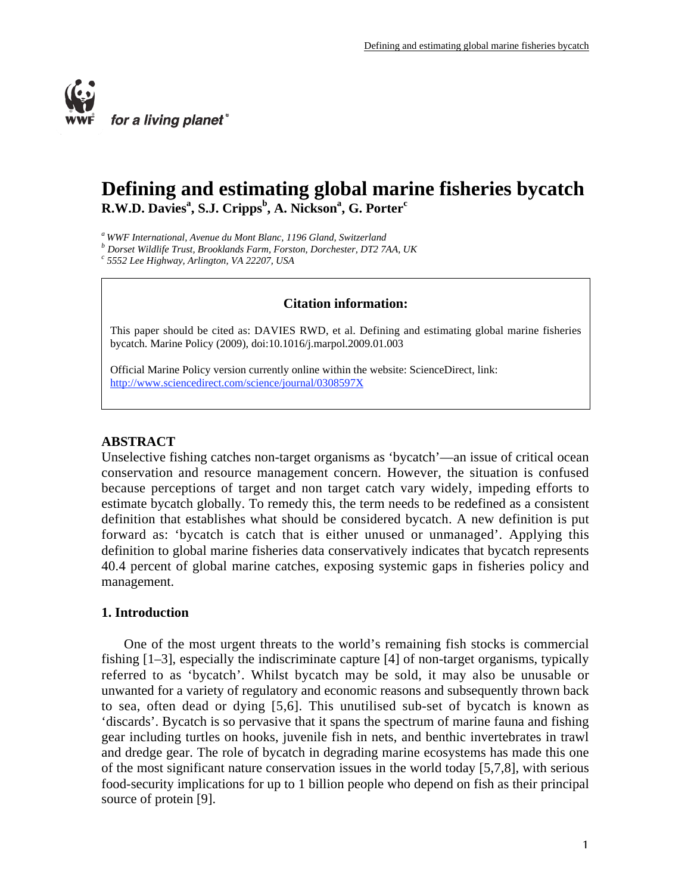

# **Defining and estimating global marine fisheries bycatch R.W.D. Davies<sup>a</sup> , S.J. Cripps<sup>b</sup> , A. Nicksona , G. Porter<sup>c</sup>**

*a WWF International, Avenue du Mont Blanc, 1196 Gland, Switzerland*

*b Dorset Wildlife Trust, Brooklands Farm, Forston, Dorchester, DT2 7AA, UK*

*c 5552 Lee Highway, Arlington, VA 22207, USA*

# **Citation information:**

This paper should be cited as: DAVIES RWD, et al. Defining and estimating global marine fisheries bycatch. Marine Policy (2009), doi:10.1016/j.marpol.2009.01.003

Official Marine Policy version currently online within the website: ScienceDirect, link: http://www.sciencedirect.com/science/journal/0308597X

# **ABSTRACT**

Unselective fishing catches non-target organisms as 'bycatch'—an issue of critical ocean conservation and resource management concern. However, the situation is confused because perceptions of target and non target catch vary widely, impeding efforts to estimate bycatch globally. To remedy this, the term needs to be redefined as a consistent definition that establishes what should be considered bycatch. A new definition is put forward as: 'bycatch is catch that is either unused or unmanaged'. Applying this definition to global marine fisheries data conservatively indicates that bycatch represents 40.4 percent of global marine catches, exposing systemic gaps in fisheries policy and management.

# **1. Introduction**

One of the most urgent threats to the world's remaining fish stocks is commercial fishing [1–3], especially the indiscriminate capture [4] of non-target organisms, typically referred to as 'bycatch'. Whilst bycatch may be sold, it may also be unusable or unwanted for a variety of regulatory and economic reasons and subsequently thrown back to sea, often dead or dying [5,6]. This unutilised sub-set of bycatch is known as 'discards'. Bycatch is so pervasive that it spans the spectrum of marine fauna and fishing gear including turtles on hooks, juvenile fish in nets, and benthic invertebrates in trawl and dredge gear. The role of bycatch in degrading marine ecosystems has made this one of the most significant nature conservation issues in the world today [5,7,8], with serious food-security implications for up to 1 billion people who depend on fish as their principal source of protein [9].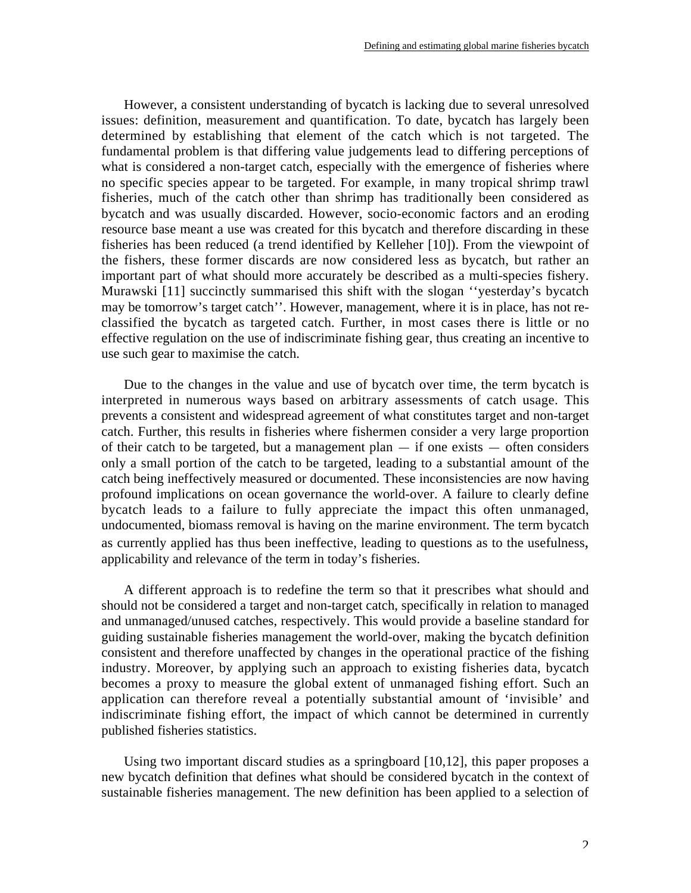However, a consistent understanding of bycatch is lacking due to several unresolved issues: definition, measurement and quantification. To date, bycatch has largely been determined by establishing that element of the catch which is not targeted. The fundamental problem is that differing value judgements lead to differing perceptions of what is considered a non-target catch, especially with the emergence of fisheries where no specific species appear to be targeted. For example, in many tropical shrimp trawl fisheries, much of the catch other than shrimp has traditionally been considered as bycatch and was usually discarded. However, socio-economic factors and an eroding resource base meant a use was created for this bycatch and therefore discarding in these fisheries has been reduced (a trend identified by Kelleher [10]). From the viewpoint of the fishers, these former discards are now considered less as bycatch, but rather an important part of what should more accurately be described as a multi-species fishery. Murawski [11] succinctly summarised this shift with the slogan ''yesterday's bycatch may be tomorrow's target catch''. However, management, where it is in place, has not reclassified the bycatch as targeted catch. Further, in most cases there is little or no effective regulation on the use of indiscriminate fishing gear, thus creating an incentive to use such gear to maximise the catch.

Due to the changes in the value and use of bycatch over time, the term bycatch is interpreted in numerous ways based on arbitrary assessments of catch usage. This prevents a consistent and widespread agreement of what constitutes target and non-target catch. Further, this results in fisheries where fishermen consider a very large proportion of their catch to be targeted, but a management plan  $-$  if one exists  $-$  often considers only a small portion of the catch to be targeted, leading to a substantial amount of the catch being ineffectively measured or documented. These inconsistencies are now having profound implications on ocean governance the world-over. A failure to clearly define bycatch leads to a failure to fully appreciate the impact this often unmanaged, undocumented, biomass removal is having on the marine environment. The term bycatch as currently applied has thus been ineffective, leading to questions as to the usefulness, applicability and relevance of the term in today's fisheries.

A different approach is to redefine the term so that it prescribes what should and should not be considered a target and non-target catch, specifically in relation to managed and unmanaged/unused catches, respectively. This would provide a baseline standard for guiding sustainable fisheries management the world-over, making the bycatch definition consistent and therefore unaffected by changes in the operational practice of the fishing industry. Moreover, by applying such an approach to existing fisheries data, bycatch becomes a proxy to measure the global extent of unmanaged fishing effort. Such an application can therefore reveal a potentially substantial amount of 'invisible' and indiscriminate fishing effort, the impact of which cannot be determined in currently published fisheries statistics.

Using two important discard studies as a springboard [10,12], this paper proposes a new bycatch definition that defines what should be considered bycatch in the context of sustainable fisheries management. The new definition has been applied to a selection of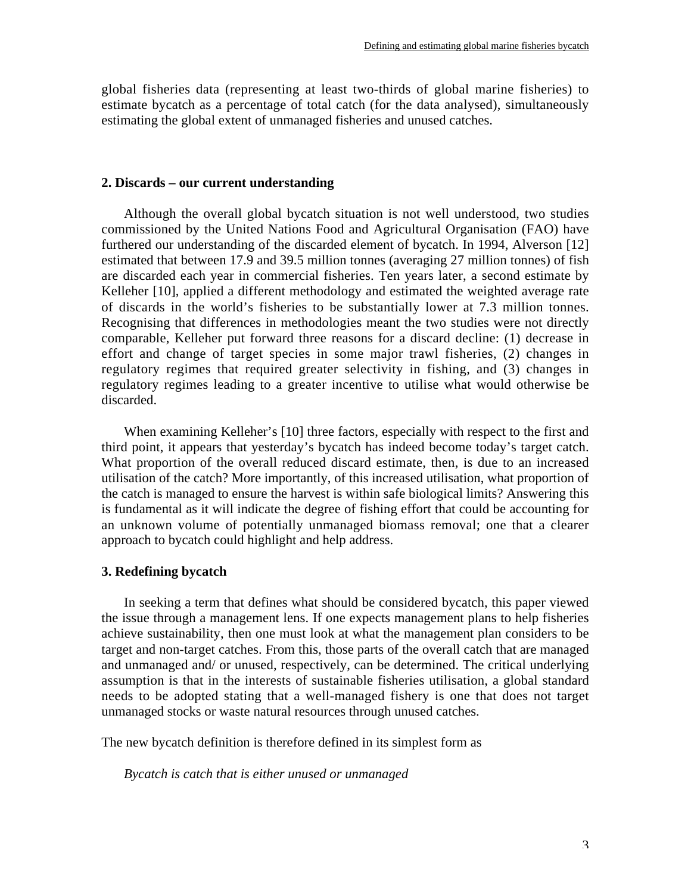global fisheries data (representing at least two-thirds of global marine fisheries) to estimate bycatch as a percentage of total catch (for the data analysed), simultaneously estimating the global extent of unmanaged fisheries and unused catches.

# **2. Discards – our current understanding**

Although the overall global bycatch situation is not well understood, two studies commissioned by the United Nations Food and Agricultural Organisation (FAO) have furthered our understanding of the discarded element of bycatch. In 1994, Alverson [12] estimated that between 17.9 and 39.5 million tonnes (averaging 27 million tonnes) of fish are discarded each year in commercial fisheries. Ten years later, a second estimate by Kelleher [10], applied a different methodology and estimated the weighted average rate of discards in the world's fisheries to be substantially lower at 7.3 million tonnes. Recognising that differences in methodologies meant the two studies were not directly comparable, Kelleher put forward three reasons for a discard decline: (1) decrease in effort and change of target species in some major trawl fisheries, (2) changes in regulatory regimes that required greater selectivity in fishing, and (3) changes in regulatory regimes leading to a greater incentive to utilise what would otherwise be discarded.

When examining Kelleher's [10] three factors, especially with respect to the first and third point, it appears that yesterday's bycatch has indeed become today's target catch. What proportion of the overall reduced discard estimate, then, is due to an increased utilisation of the catch? More importantly, of this increased utilisation, what proportion of the catch is managed to ensure the harvest is within safe biological limits? Answering this is fundamental as it will indicate the degree of fishing effort that could be accounting for an unknown volume of potentially unmanaged biomass removal; one that a clearer approach to bycatch could highlight and help address.

# **3. Redefining bycatch**

In seeking a term that defines what should be considered bycatch, this paper viewed the issue through a management lens. If one expects management plans to help fisheries achieve sustainability, then one must look at what the management plan considers to be target and non-target catches. From this, those parts of the overall catch that are managed and unmanaged and/ or unused, respectively, can be determined. The critical underlying assumption is that in the interests of sustainable fisheries utilisation, a global standard needs to be adopted stating that a well-managed fishery is one that does not target unmanaged stocks or waste natural resources through unused catches.

The new bycatch definition is therefore defined in its simplest form as

*Bycatch is catch that is either unused or unmanaged*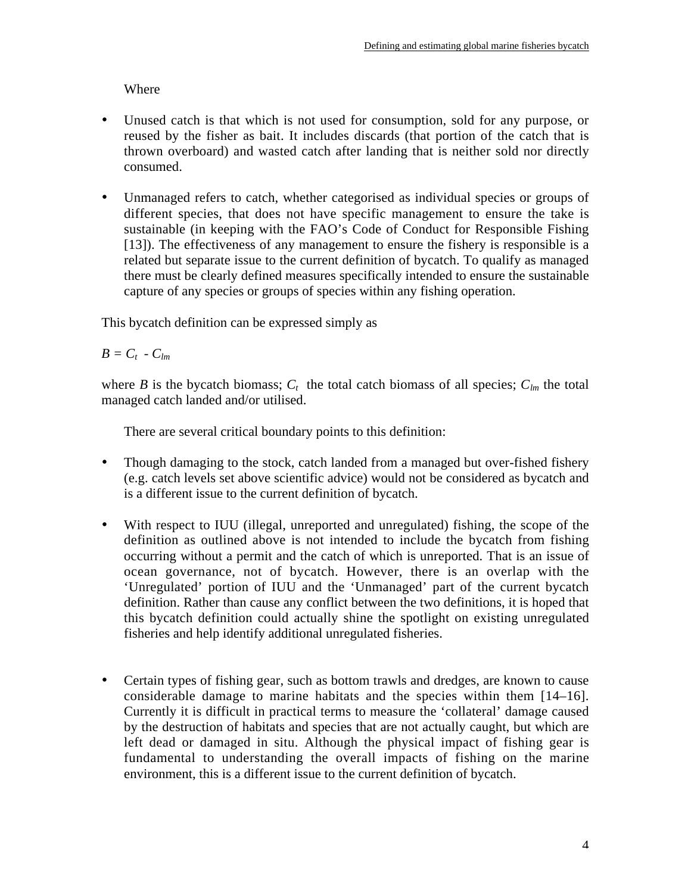Where

- Unused catch is that which is not used for consumption, sold for any purpose, or reused by the fisher as bait. It includes discards (that portion of the catch that is thrown overboard) and wasted catch after landing that is neither sold nor directly consumed.
- Unmanaged refers to catch, whether categorised as individual species or groups of different species, that does not have specific management to ensure the take is sustainable (in keeping with the FAO's Code of Conduct for Responsible Fishing [13]). The effectiveness of any management to ensure the fishery is responsible is a related but separate issue to the current definition of bycatch. To qualify as managed there must be clearly defined measures specifically intended to ensure the sustainable capture of any species or groups of species within any fishing operation.

This bycatch definition can be expressed simply as

 $B = C_t - C_{lm}$ 

where *B* is the bycatch biomass;  $C_t$  the total catch biomass of all species;  $C_{lm}$  the total managed catch landed and/or utilised.

There are several critical boundary points to this definition:

- Though damaging to the stock, catch landed from a managed but over-fished fishery (e.g. catch levels set above scientific advice) would not be considered as bycatch and is a different issue to the current definition of bycatch.
- With respect to IUU (illegal, unreported and unregulated) fishing, the scope of the definition as outlined above is not intended to include the bycatch from fishing occurring without a permit and the catch of which is unreported. That is an issue of ocean governance, not of bycatch. However, there is an overlap with the 'Unregulated' portion of IUU and the 'Unmanaged' part of the current bycatch definition. Rather than cause any conflict between the two definitions, it is hoped that this bycatch definition could actually shine the spotlight on existing unregulated fisheries and help identify additional unregulated fisheries.
- Certain types of fishing gear, such as bottom trawls and dredges, are known to cause considerable damage to marine habitats and the species within them [14–16]. Currently it is difficult in practical terms to measure the 'collateral' damage caused by the destruction of habitats and species that are not actually caught, but which are left dead or damaged in situ. Although the physical impact of fishing gear is fundamental to understanding the overall impacts of fishing on the marine environment, this is a different issue to the current definition of bycatch.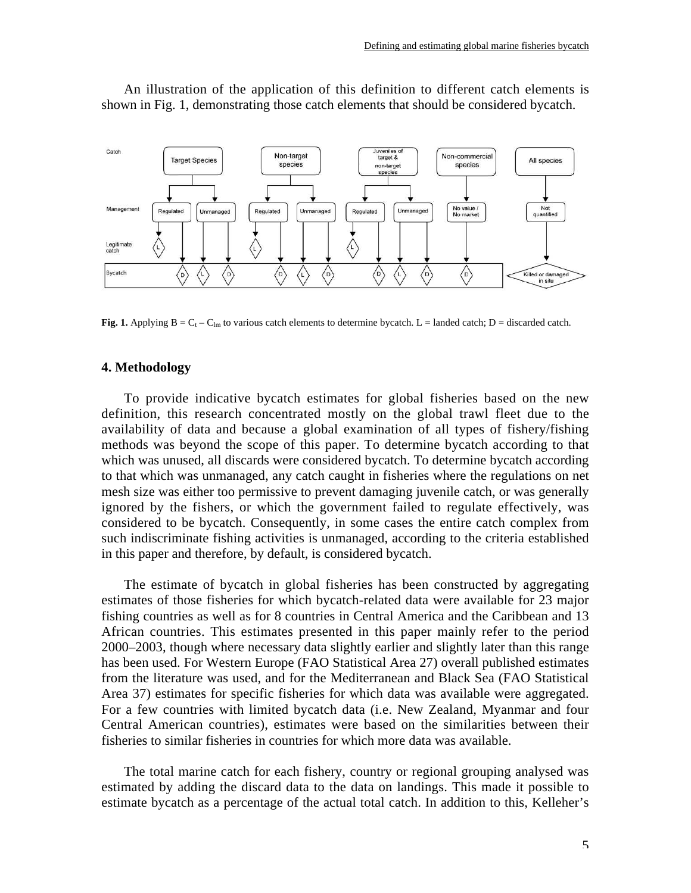

An illustration of the application of this definition to different catch elements is shown in Fig. 1, demonstrating those catch elements that should be considered bycatch.

**Fig. 1.** Applying  $B = C_t - C_{lm}$  to various catch elements to determine bycatch. L = landed catch; D = discarded catch.

# **4. Methodology**

To provide indicative bycatch estimates for global fisheries based on the new definition, this research concentrated mostly on the global trawl fleet due to the availability of data and because a global examination of all types of fishery/fishing methods was beyond the scope of this paper. To determine bycatch according to that which was unused, all discards were considered bycatch. To determine bycatch according to that which was unmanaged, any catch caught in fisheries where the regulations on net mesh size was either too permissive to prevent damaging juvenile catch, or was generally ignored by the fishers, or which the government failed to regulate effectively, was considered to be bycatch. Consequently, in some cases the entire catch complex from such indiscriminate fishing activities is unmanaged, according to the criteria established in this paper and therefore, by default, is considered bycatch.

The estimate of bycatch in global fisheries has been constructed by aggregating estimates of those fisheries for which bycatch-related data were available for 23 major fishing countries as well as for 8 countries in Central America and the Caribbean and 13 African countries. This estimates presented in this paper mainly refer to the period 2000–2003, though where necessary data slightly earlier and slightly later than this range has been used. For Western Europe (FAO Statistical Area 27) overall published estimates from the literature was used, and for the Mediterranean and Black Sea (FAO Statistical Area 37) estimates for specific fisheries for which data was available were aggregated. For a few countries with limited bycatch data (i.e. New Zealand, Myanmar and four Central American countries), estimates were based on the similarities between their fisheries to similar fisheries in countries for which more data was available.

The total marine catch for each fishery, country or regional grouping analysed was estimated by adding the discard data to the data on landings. This made it possible to estimate bycatch as a percentage of the actual total catch. In addition to this, Kelleher's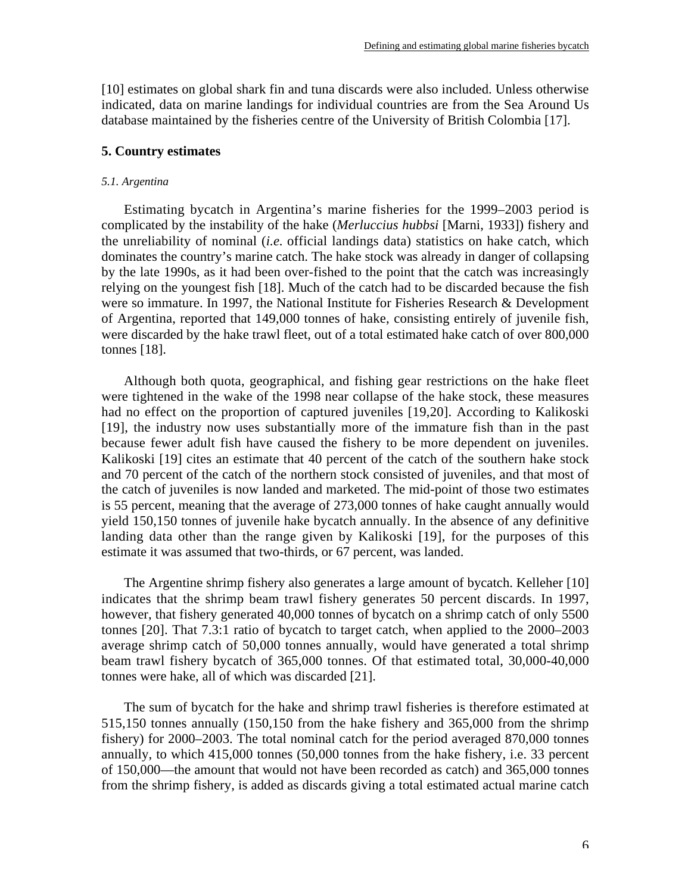[10] estimates on global shark fin and tuna discards were also included. Unless otherwise indicated, data on marine landings for individual countries are from the Sea Around Us database maintained by the fisheries centre of the University of British Colombia [17].

# **5. Country estimates**

# *5.1. Argentina*

Estimating bycatch in Argentina's marine fisheries for the 1999–2003 period is complicated by the instability of the hake (*Merluccius hubbsi* [Marni, 1933]) fishery and the unreliability of nominal (*i.e.* official landings data) statistics on hake catch, which dominates the country's marine catch. The hake stock was already in danger of collapsing by the late 1990s, as it had been over-fished to the point that the catch was increasingly relying on the youngest fish [18]. Much of the catch had to be discarded because the fish were so immature. In 1997, the National Institute for Fisheries Research & Development of Argentina, reported that 149,000 tonnes of hake, consisting entirely of juvenile fish, were discarded by the hake trawl fleet, out of a total estimated hake catch of over 800,000 tonnes [18].

Although both quota, geographical, and fishing gear restrictions on the hake fleet were tightened in the wake of the 1998 near collapse of the hake stock, these measures had no effect on the proportion of captured juveniles [19,20]. According to Kalikoski [19], the industry now uses substantially more of the immature fish than in the past because fewer adult fish have caused the fishery to be more dependent on juveniles. Kalikoski [19] cites an estimate that 40 percent of the catch of the southern hake stock and 70 percent of the catch of the northern stock consisted of juveniles, and that most of the catch of juveniles is now landed and marketed. The mid-point of those two estimates is 55 percent, meaning that the average of 273,000 tonnes of hake caught annually would yield 150,150 tonnes of juvenile hake bycatch annually. In the absence of any definitive landing data other than the range given by Kalikoski [19], for the purposes of this estimate it was assumed that two-thirds, or 67 percent, was landed.

The Argentine shrimp fishery also generates a large amount of bycatch. Kelleher [10] indicates that the shrimp beam trawl fishery generates 50 percent discards. In 1997, however, that fishery generated 40,000 tonnes of bycatch on a shrimp catch of only 5500 tonnes [20]. That 7.3:1 ratio of bycatch to target catch, when applied to the 2000–2003 average shrimp catch of 50,000 tonnes annually, would have generated a total shrimp beam trawl fishery bycatch of 365,000 tonnes. Of that estimated total, 30,000-40,000 tonnes were hake, all of which was discarded [21].

The sum of bycatch for the hake and shrimp trawl fisheries is therefore estimated at 515,150 tonnes annually (150,150 from the hake fishery and 365,000 from the shrimp fishery) for 2000–2003. The total nominal catch for the period averaged 870,000 tonnes annually, to which 415,000 tonnes (50,000 tonnes from the hake fishery, i.e. 33 percent of 150,000—the amount that would not have been recorded as catch) and 365,000 tonnes from the shrimp fishery, is added as discards giving a total estimated actual marine catch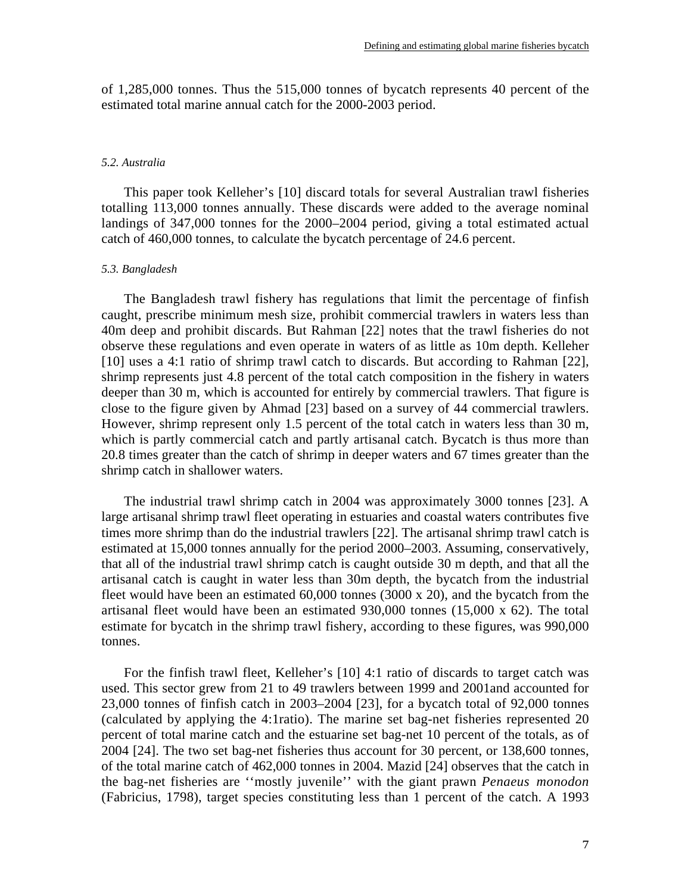of 1,285,000 tonnes. Thus the 515,000 tonnes of bycatch represents 40 percent of the estimated total marine annual catch for the 2000-2003 period.

### *5.2. Australia*

This paper took Kelleher's [10] discard totals for several Australian trawl fisheries totalling 113,000 tonnes annually. These discards were added to the average nominal landings of 347,000 tonnes for the 2000–2004 period, giving a total estimated actual catch of 460,000 tonnes, to calculate the bycatch percentage of 24.6 percent.

### *5.3. Bangladesh*

The Bangladesh trawl fishery has regulations that limit the percentage of finfish caught, prescribe minimum mesh size, prohibit commercial trawlers in waters less than 40m deep and prohibit discards. But Rahman [22] notes that the trawl fisheries do not observe these regulations and even operate in waters of as little as 10m depth. Kelleher [10] uses a 4:1 ratio of shrimp trawl catch to discards. But according to Rahman [22], shrimp represents just 4.8 percent of the total catch composition in the fishery in waters deeper than 30 m, which is accounted for entirely by commercial trawlers. That figure is close to the figure given by Ahmad [23] based on a survey of 44 commercial trawlers. However, shrimp represent only 1.5 percent of the total catch in waters less than 30 m, which is partly commercial catch and partly artisanal catch. Bycatch is thus more than 20.8 times greater than the catch of shrimp in deeper waters and 67 times greater than the shrimp catch in shallower waters.

The industrial trawl shrimp catch in 2004 was approximately 3000 tonnes [23]. A large artisanal shrimp trawl fleet operating in estuaries and coastal waters contributes five times more shrimp than do the industrial trawlers [22]. The artisanal shrimp trawl catch is estimated at 15,000 tonnes annually for the period 2000–2003. Assuming, conservatively, that all of the industrial trawl shrimp catch is caught outside 30 m depth, and that all the artisanal catch is caught in water less than 30m depth, the bycatch from the industrial fleet would have been an estimated 60,000 tonnes (3000 x 20), and the bycatch from the artisanal fleet would have been an estimated 930,000 tonnes (15,000 x 62). The total estimate for bycatch in the shrimp trawl fishery, according to these figures, was 990,000 tonnes.

For the finfish trawl fleet, Kelleher's [10] 4:1 ratio of discards to target catch was used. This sector grew from 21 to 49 trawlers between 1999 and 2001and accounted for 23,000 tonnes of finfish catch in 2003–2004 [23], for a bycatch total of 92,000 tonnes (calculated by applying the 4:1ratio). The marine set bag-net fisheries represented 20 percent of total marine catch and the estuarine set bag-net 10 percent of the totals, as of 2004 [24]. The two set bag-net fisheries thus account for 30 percent, or 138,600 tonnes, of the total marine catch of 462,000 tonnes in 2004. Mazid [24] observes that the catch in the bag-net fisheries are ''mostly juvenile'' with the giant prawn *Penaeus monodon* (Fabricius, 1798), target species constituting less than 1 percent of the catch. A 1993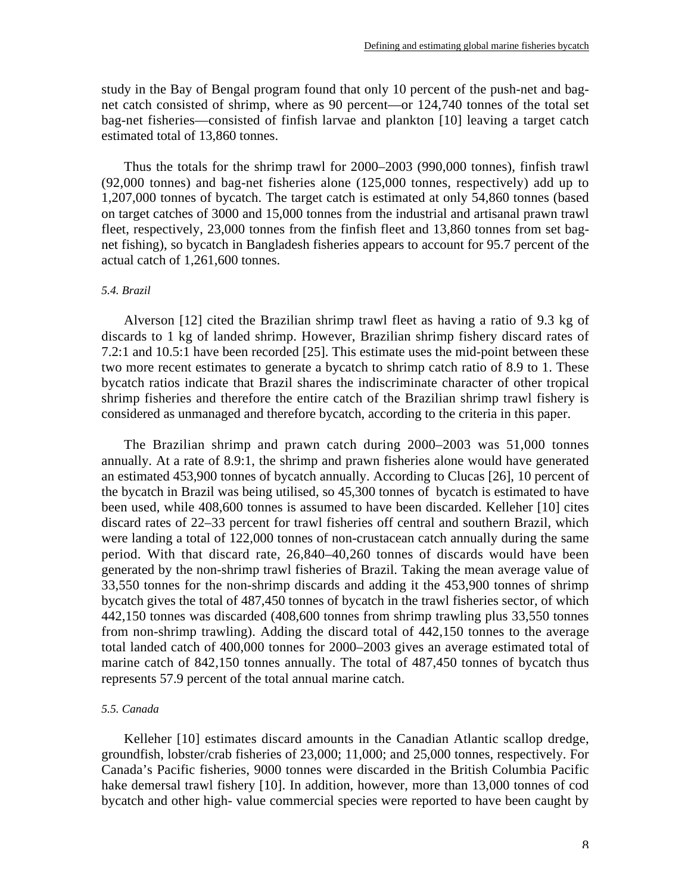study in the Bay of Bengal program found that only 10 percent of the push-net and bagnet catch consisted of shrimp, where as 90 percent—or 124,740 tonnes of the total set bag-net fisheries—consisted of finfish larvae and plankton [10] leaving a target catch estimated total of 13,860 tonnes.

Thus the totals for the shrimp trawl for 2000–2003 (990,000 tonnes), finfish trawl (92,000 tonnes) and bag-net fisheries alone (125,000 tonnes, respectively) add up to 1,207,000 tonnes of bycatch. The target catch is estimated at only 54,860 tonnes (based on target catches of 3000 and 15,000 tonnes from the industrial and artisanal prawn trawl fleet, respectively, 23,000 tonnes from the finfish fleet and 13,860 tonnes from set bagnet fishing), so bycatch in Bangladesh fisheries appears to account for 95.7 percent of the actual catch of 1,261,600 tonnes.

### *5.4. Brazil*

Alverson [12] cited the Brazilian shrimp trawl fleet as having a ratio of 9.3 kg of discards to 1 kg of landed shrimp. However, Brazilian shrimp fishery discard rates of 7.2:1 and 10.5:1 have been recorded [25]. This estimate uses the mid-point between these two more recent estimates to generate a bycatch to shrimp catch ratio of 8.9 to 1. These bycatch ratios indicate that Brazil shares the indiscriminate character of other tropical shrimp fisheries and therefore the entire catch of the Brazilian shrimp trawl fishery is considered as unmanaged and therefore bycatch, according to the criteria in this paper.

The Brazilian shrimp and prawn catch during 2000–2003 was 51,000 tonnes annually. At a rate of 8.9:1, the shrimp and prawn fisheries alone would have generated an estimated 453,900 tonnes of bycatch annually. According to Clucas [26], 10 percent of the bycatch in Brazil was being utilised, so 45,300 tonnes of bycatch is estimated to have been used, while 408,600 tonnes is assumed to have been discarded. Kelleher [10] cites discard rates of 22–33 percent for trawl fisheries off central and southern Brazil, which were landing a total of 122,000 tonnes of non-crustacean catch annually during the same period. With that discard rate, 26,840–40,260 tonnes of discards would have been generated by the non-shrimp trawl fisheries of Brazil. Taking the mean average value of 33,550 tonnes for the non-shrimp discards and adding it the 453,900 tonnes of shrimp bycatch gives the total of 487,450 tonnes of bycatch in the trawl fisheries sector, of which 442,150 tonnes was discarded (408,600 tonnes from shrimp trawling plus 33,550 tonnes from non-shrimp trawling). Adding the discard total of 442,150 tonnes to the average total landed catch of 400,000 tonnes for 2000–2003 gives an average estimated total of marine catch of 842,150 tonnes annually. The total of 487,450 tonnes of bycatch thus represents 57.9 percent of the total annual marine catch.

# *5.5. Canada*

Kelleher [10] estimates discard amounts in the Canadian Atlantic scallop dredge, groundfish, lobster/crab fisheries of 23,000; 11,000; and 25,000 tonnes, respectively. For Canada's Pacific fisheries, 9000 tonnes were discarded in the British Columbia Pacific hake demersal trawl fishery [10]. In addition, however, more than 13,000 tonnes of cod bycatch and other high- value commercial species were reported to have been caught by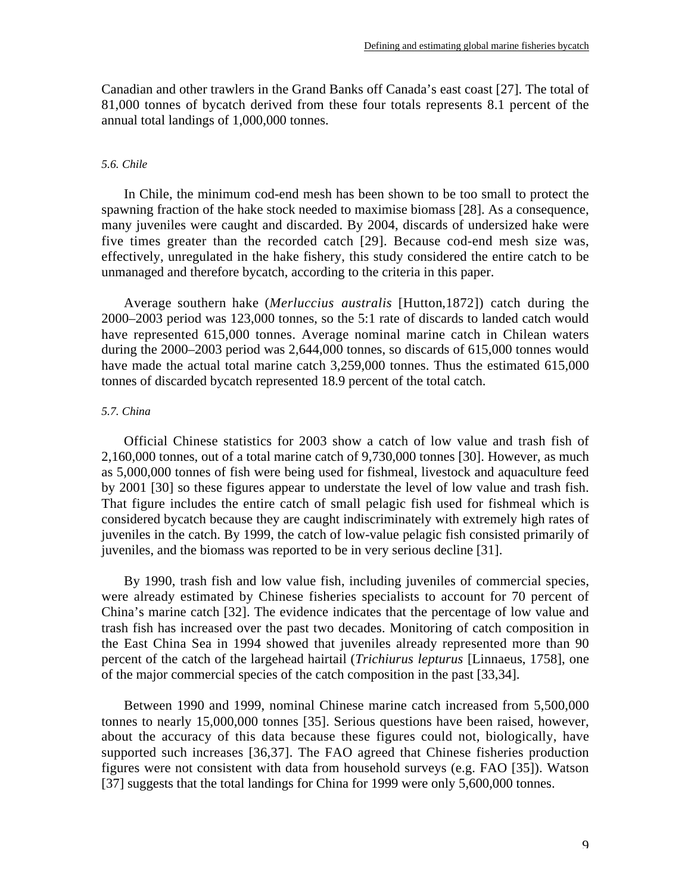Canadian and other trawlers in the Grand Banks off Canada's east coast [27]. The total of 81,000 tonnes of bycatch derived from these four totals represents 8.1 percent of the annual total landings of 1,000,000 tonnes.

# *5.6. Chile*

In Chile, the minimum cod-end mesh has been shown to be too small to protect the spawning fraction of the hake stock needed to maximise biomass [28]. As a consequence, many juveniles were caught and discarded. By 2004, discards of undersized hake were five times greater than the recorded catch [29]. Because cod-end mesh size was, effectively, unregulated in the hake fishery, this study considered the entire catch to be unmanaged and therefore bycatch, according to the criteria in this paper.

Average southern hake (*Merluccius australis* [Hutton,1872]) catch during the 2000–2003 period was 123,000 tonnes, so the 5:1 rate of discards to landed catch would have represented 615,000 tonnes. Average nominal marine catch in Chilean waters during the 2000–2003 period was 2,644,000 tonnes, so discards of 615,000 tonnes would have made the actual total marine catch 3,259,000 tonnes. Thus the estimated 615,000 tonnes of discarded bycatch represented 18.9 percent of the total catch.

# *5.7. China*

Official Chinese statistics for 2003 show a catch of low value and trash fish of 2,160,000 tonnes, out of a total marine catch of 9,730,000 tonnes [30]. However, as much as 5,000,000 tonnes of fish were being used for fishmeal, livestock and aquaculture feed by 2001 [30] so these figures appear to understate the level of low value and trash fish. That figure includes the entire catch of small pelagic fish used for fishmeal which is considered bycatch because they are caught indiscriminately with extremely high rates of juveniles in the catch. By 1999, the catch of low-value pelagic fish consisted primarily of juveniles, and the biomass was reported to be in very serious decline [31].

By 1990, trash fish and low value fish, including juveniles of commercial species, were already estimated by Chinese fisheries specialists to account for 70 percent of China's marine catch [32]. The evidence indicates that the percentage of low value and trash fish has increased over the past two decades. Monitoring of catch composition in the East China Sea in 1994 showed that juveniles already represented more than 90 percent of the catch of the largehead hairtail (*Trichiurus lepturus* [Linnaeus, 1758], one of the major commercial species of the catch composition in the past [33,34].

Between 1990 and 1999, nominal Chinese marine catch increased from 5,500,000 tonnes to nearly 15,000,000 tonnes [35]. Serious questions have been raised, however, about the accuracy of this data because these figures could not, biologically, have supported such increases [36,37]. The FAO agreed that Chinese fisheries production figures were not consistent with data from household surveys (e.g. FAO [35]). Watson [37] suggests that the total landings for China for 1999 were only 5,600,000 tonnes.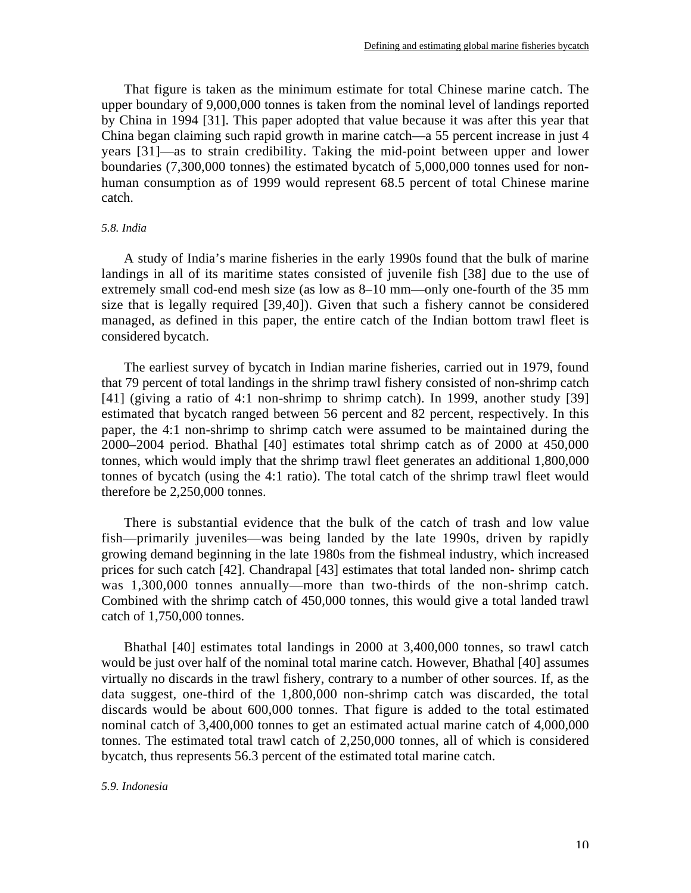That figure is taken as the minimum estimate for total Chinese marine catch. The upper boundary of 9,000,000 tonnes is taken from the nominal level of landings reported by China in 1994 [31]. This paper adopted that value because it was after this year that China began claiming such rapid growth in marine catch—a 55 percent increase in just 4 years [31]—as to strain credibility. Taking the mid-point between upper and lower boundaries (7,300,000 tonnes) the estimated bycatch of 5,000,000 tonnes used for nonhuman consumption as of 1999 would represent 68.5 percent of total Chinese marine catch.

# *5.8. India*

A study of India's marine fisheries in the early 1990s found that the bulk of marine landings in all of its maritime states consisted of juvenile fish [38] due to the use of extremely small cod-end mesh size (as low as 8–10 mm—only one-fourth of the 35 mm size that is legally required [39,40]). Given that such a fishery cannot be considered managed, as defined in this paper, the entire catch of the Indian bottom trawl fleet is considered bycatch.

The earliest survey of bycatch in Indian marine fisheries, carried out in 1979, found that 79 percent of total landings in the shrimp trawl fishery consisted of non-shrimp catch [41] (giving a ratio of 4:1 non-shrimp to shrimp catch). In 1999, another study [39] estimated that bycatch ranged between 56 percent and 82 percent, respectively. In this paper, the 4:1 non-shrimp to shrimp catch were assumed to be maintained during the 2000–2004 period. Bhathal [40] estimates total shrimp catch as of 2000 at 450,000 tonnes, which would imply that the shrimp trawl fleet generates an additional 1,800,000 tonnes of bycatch (using the 4:1 ratio). The total catch of the shrimp trawl fleet would therefore be 2,250,000 tonnes.

There is substantial evidence that the bulk of the catch of trash and low value fish—primarily juveniles—was being landed by the late 1990s, driven by rapidly growing demand beginning in the late 1980s from the fishmeal industry, which increased prices for such catch [42]. Chandrapal [43] estimates that total landed non- shrimp catch was 1,300,000 tonnes annually—more than two-thirds of the non-shrimp catch. Combined with the shrimp catch of 450,000 tonnes, this would give a total landed trawl catch of 1,750,000 tonnes.

Bhathal [40] estimates total landings in 2000 at 3,400,000 tonnes, so trawl catch would be just over half of the nominal total marine catch. However, Bhathal [40] assumes virtually no discards in the trawl fishery, contrary to a number of other sources. If, as the data suggest, one-third of the 1,800,000 non-shrimp catch was discarded, the total discards would be about 600,000 tonnes. That figure is added to the total estimated nominal catch of 3,400,000 tonnes to get an estimated actual marine catch of 4,000,000 tonnes. The estimated total trawl catch of 2,250,000 tonnes, all of which is considered bycatch, thus represents 56.3 percent of the estimated total marine catch.

### *5.9. Indonesia*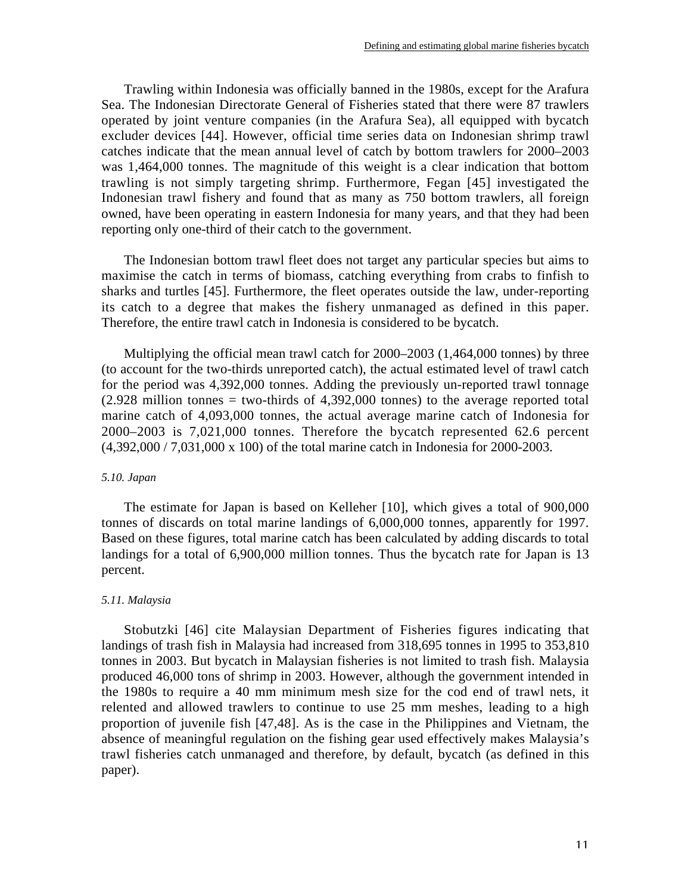Trawling within Indonesia was officially banned in the 1980s, except for the Arafura Sea. The Indonesian Directorate General of Fisheries stated that there were 87 trawlers operated by joint venture companies (in the Arafura Sea), all equipped with bycatch excluder devices [44]. However, official time series data on Indonesian shrimp trawl catches indicate that the mean annual level of catch by bottom trawlers for 2000–2003 was 1,464,000 tonnes. The magnitude of this weight is a clear indication that bottom trawling is not simply targeting shrimp. Furthermore, Fegan [45] investigated the Indonesian trawl fishery and found that as many as 750 bottom trawlers, all foreign owned, have been operating in eastern Indonesia for many years, and that they had been reporting only one-third of their catch to the government.

The Indonesian bottom trawl fleet does not target any particular species but aims to maximise the catch in terms of biomass, catching everything from crabs to finfish to sharks and turtles [45]. Furthermore, the fleet operates outside the law, under-reporting its catch to a degree that makes the fishery unmanaged as defined in this paper. Therefore, the entire trawl catch in Indonesia is considered to be bycatch.

Multiplying the official mean trawl catch for 2000–2003 (1,464,000 tonnes) by three (to account for the two-thirds unreported catch), the actual estimated level of trawl catch for the period was 4,392,000 tonnes. Adding the previously un-reported trawl tonnage  $(2.928 \text{ million tonnes} = \text{two-thirds of } 4,392,000 \text{ tonnes})$  to the average reported total marine catch of 4,093,000 tonnes, the actual average marine catch of Indonesia for 2000–2003 is 7,021,000 tonnes. Therefore the bycatch represented 62.6 percent (4,392,000 / 7,031,000 x 100) of the total marine catch in Indonesia for 2000-2003.

### *5.10. Japan*

The estimate for Japan is based on Kelleher [10], which gives a total of 900,000 tonnes of discards on total marine landings of 6,000,000 tonnes, apparently for 1997. Based on these figures, total marine catch has been calculated by adding discards to total landings for a total of 6,900,000 million tonnes. Thus the bycatch rate for Japan is 13 percent.

# *5.11. Malaysia*

Stobutzki [46] cite Malaysian Department of Fisheries figures indicating that landings of trash fish in Malaysia had increased from 318,695 tonnes in 1995 to 353,810 tonnes in 2003. But bycatch in Malaysian fisheries is not limited to trash fish. Malaysia produced 46,000 tons of shrimp in 2003. However, although the government intended in the 1980s to require a 40 mm minimum mesh size for the cod end of trawl nets, it relented and allowed trawlers to continue to use 25 mm meshes, leading to a high proportion of juvenile fish [47,48]. As is the case in the Philippines and Vietnam, the absence of meaningful regulation on the fishing gear used effectively makes Malaysia's trawl fisheries catch unmanaged and therefore, by default, bycatch (as defined in this paper).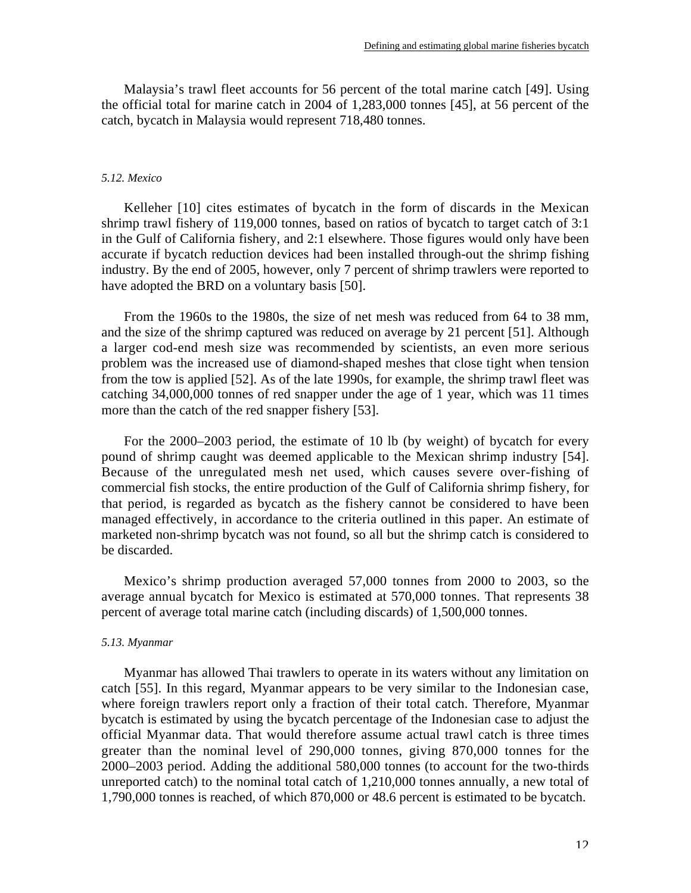Malaysia's trawl fleet accounts for 56 percent of the total marine catch [49]. Using the official total for marine catch in 2004 of 1,283,000 tonnes [45], at 56 percent of the catch, bycatch in Malaysia would represent 718,480 tonnes.

#### *5.12. Mexico*

Kelleher [10] cites estimates of bycatch in the form of discards in the Mexican shrimp trawl fishery of 119,000 tonnes, based on ratios of bycatch to target catch of 3:1 in the Gulf of California fishery, and 2:1 elsewhere. Those figures would only have been accurate if bycatch reduction devices had been installed through-out the shrimp fishing industry. By the end of 2005, however, only 7 percent of shrimp trawlers were reported to have adopted the BRD on a voluntary basis [50].

From the 1960s to the 1980s, the size of net mesh was reduced from 64 to 38 mm, and the size of the shrimp captured was reduced on average by 21 percent [51]. Although a larger cod-end mesh size was recommended by scientists, an even more serious problem was the increased use of diamond-shaped meshes that close tight when tension from the tow is applied [52]. As of the late 1990s, for example, the shrimp trawl fleet was catching 34,000,000 tonnes of red snapper under the age of 1 year, which was 11 times more than the catch of the red snapper fishery [53].

For the 2000–2003 period, the estimate of 10 lb (by weight) of bycatch for every pound of shrimp caught was deemed applicable to the Mexican shrimp industry [54]. Because of the unregulated mesh net used, which causes severe over-fishing of commercial fish stocks, the entire production of the Gulf of California shrimp fishery, for that period, is regarded as bycatch as the fishery cannot be considered to have been managed effectively, in accordance to the criteria outlined in this paper. An estimate of marketed non-shrimp bycatch was not found, so all but the shrimp catch is considered to be discarded.

Mexico's shrimp production averaged 57,000 tonnes from 2000 to 2003, so the average annual bycatch for Mexico is estimated at 570,000 tonnes. That represents 38 percent of average total marine catch (including discards) of 1,500,000 tonnes.

#### *5.13. Myanmar*

Myanmar has allowed Thai trawlers to operate in its waters without any limitation on catch [55]. In this regard, Myanmar appears to be very similar to the Indonesian case, where foreign trawlers report only a fraction of their total catch. Therefore, Myanmar bycatch is estimated by using the bycatch percentage of the Indonesian case to adjust the official Myanmar data. That would therefore assume actual trawl catch is three times greater than the nominal level of 290,000 tonnes, giving 870,000 tonnes for the 2000–2003 period. Adding the additional 580,000 tonnes (to account for the two-thirds unreported catch) to the nominal total catch of 1,210,000 tonnes annually, a new total of 1,790,000 tonnes is reached, of which 870,000 or 48.6 percent is estimated to be bycatch.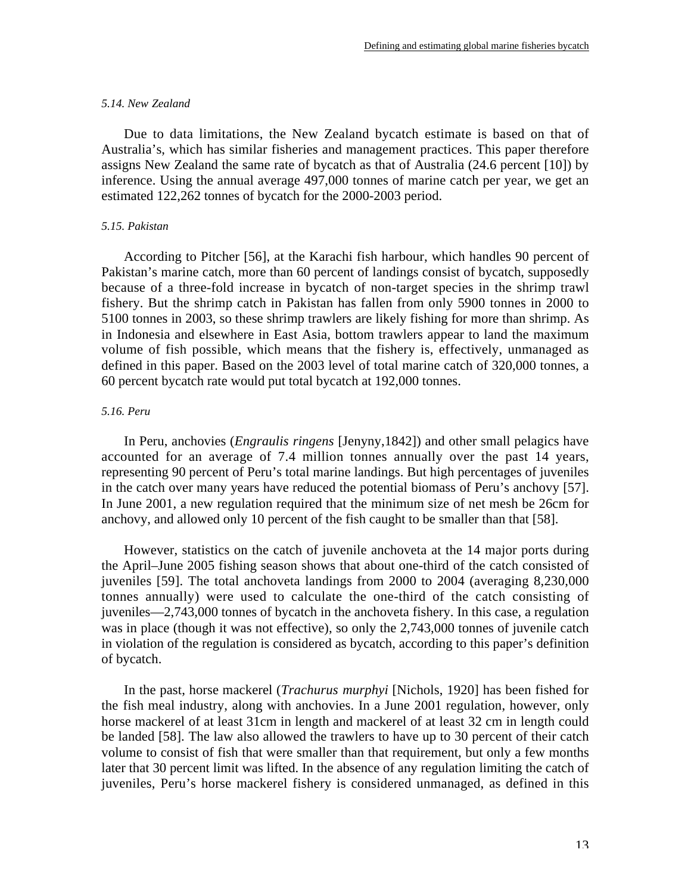#### *5.14. New Zealand*

Due to data limitations, the New Zealand bycatch estimate is based on that of Australia's, which has similar fisheries and management practices. This paper therefore assigns New Zealand the same rate of bycatch as that of Australia (24.6 percent [10]) by inference. Using the annual average 497,000 tonnes of marine catch per year, we get an estimated 122,262 tonnes of bycatch for the 2000-2003 period.

# *5.15. Pakistan*

According to Pitcher [56], at the Karachi fish harbour, which handles 90 percent of Pakistan's marine catch, more than 60 percent of landings consist of bycatch, supposedly because of a three-fold increase in bycatch of non-target species in the shrimp trawl fishery. But the shrimp catch in Pakistan has fallen from only 5900 tonnes in 2000 to 5100 tonnes in 2003, so these shrimp trawlers are likely fishing for more than shrimp. As in Indonesia and elsewhere in East Asia, bottom trawlers appear to land the maximum volume of fish possible, which means that the fishery is, effectively, unmanaged as defined in this paper. Based on the 2003 level of total marine catch of 320,000 tonnes, a 60 percent bycatch rate would put total bycatch at 192,000 tonnes.

# *5.16. Peru*

In Peru, anchovies (*Engraulis ringens* [Jenyny,1842]) and other small pelagics have accounted for an average of 7.4 million tonnes annually over the past 14 years, representing 90 percent of Peru's total marine landings. But high percentages of juveniles in the catch over many years have reduced the potential biomass of Peru's anchovy [57]. In June 2001, a new regulation required that the minimum size of net mesh be 26cm for anchovy, and allowed only 10 percent of the fish caught to be smaller than that [58].

However, statistics on the catch of juvenile anchoveta at the 14 major ports during the April–June 2005 fishing season shows that about one-third of the catch consisted of juveniles [59]. The total anchoveta landings from 2000 to 2004 (averaging 8,230,000 tonnes annually) were used to calculate the one-third of the catch consisting of juveniles—2,743,000 tonnes of bycatch in the anchoveta fishery. In this case, a regulation was in place (though it was not effective), so only the 2,743,000 tonnes of juvenile catch in violation of the regulation is considered as bycatch, according to this paper's definition of bycatch.

In the past, horse mackerel (*Trachurus murphyi* [Nichols, 1920] has been fished for the fish meal industry, along with anchovies. In a June 2001 regulation, however, only horse mackerel of at least 31cm in length and mackerel of at least 32 cm in length could be landed [58]. The law also allowed the trawlers to have up to 30 percent of their catch volume to consist of fish that were smaller than that requirement, but only a few months later that 30 percent limit was lifted. In the absence of any regulation limiting the catch of juveniles, Peru's horse mackerel fishery is considered unmanaged, as defined in this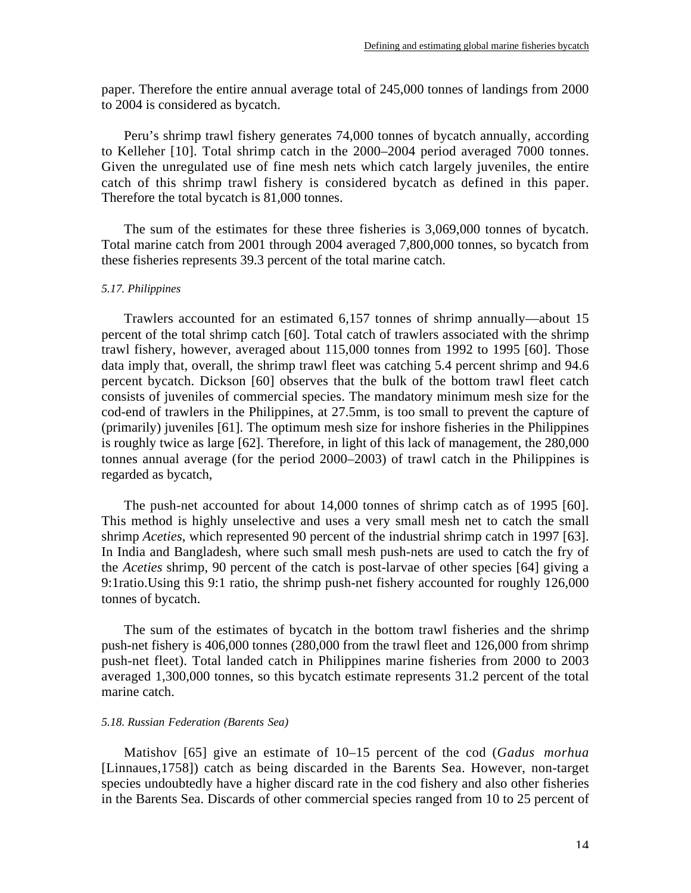paper. Therefore the entire annual average total of 245,000 tonnes of landings from 2000 to 2004 is considered as bycatch.

Peru's shrimp trawl fishery generates 74,000 tonnes of bycatch annually, according to Kelleher [10]. Total shrimp catch in the 2000–2004 period averaged 7000 tonnes. Given the unregulated use of fine mesh nets which catch largely juveniles, the entire catch of this shrimp trawl fishery is considered bycatch as defined in this paper. Therefore the total bycatch is 81,000 tonnes.

The sum of the estimates for these three fisheries is 3,069,000 tonnes of bycatch. Total marine catch from 2001 through 2004 averaged 7,800,000 tonnes, so bycatch from these fisheries represents 39.3 percent of the total marine catch.

#### *5.17. Philippines*

Trawlers accounted for an estimated 6,157 tonnes of shrimp annually—about 15 percent of the total shrimp catch [60]. Total catch of trawlers associated with the shrimp trawl fishery, however, averaged about 115,000 tonnes from 1992 to 1995 [60]. Those data imply that, overall, the shrimp trawl fleet was catching 5.4 percent shrimp and 94.6 percent bycatch. Dickson [60] observes that the bulk of the bottom trawl fleet catch consists of juveniles of commercial species. The mandatory minimum mesh size for the cod-end of trawlers in the Philippines, at 27.5mm, is too small to prevent the capture of (primarily) juveniles [61]. The optimum mesh size for inshore fisheries in the Philippines is roughly twice as large [62]. Therefore, in light of this lack of management, the 280,000 tonnes annual average (for the period 2000–2003) of trawl catch in the Philippines is regarded as bycatch,

The push-net accounted for about 14,000 tonnes of shrimp catch as of 1995 [60]. This method is highly unselective and uses a very small mesh net to catch the small shrimp *Aceties*, which represented 90 percent of the industrial shrimp catch in 1997 [63]. In India and Bangladesh, where such small mesh push-nets are used to catch the fry of the *Aceties* shrimp, 90 percent of the catch is post-larvae of other species [64] giving a 9:1ratio.Using this 9:1 ratio, the shrimp push-net fishery accounted for roughly 126,000 tonnes of bycatch.

The sum of the estimates of bycatch in the bottom trawl fisheries and the shrimp push-net fishery is 406,000 tonnes (280,000 from the trawl fleet and 126,000 from shrimp push-net fleet). Total landed catch in Philippines marine fisheries from 2000 to 2003 averaged 1,300,000 tonnes, so this bycatch estimate represents 31.2 percent of the total marine catch.

#### *5.18. Russian Federation (Barents Sea)*

Matishov [65] give an estimate of 10–15 percent of the cod (*Gadus morhua* [Linnaues,1758]) catch as being discarded in the Barents Sea. However, non-target species undoubtedly have a higher discard rate in the cod fishery and also other fisheries in the Barents Sea. Discards of other commercial species ranged from 10 to 25 percent of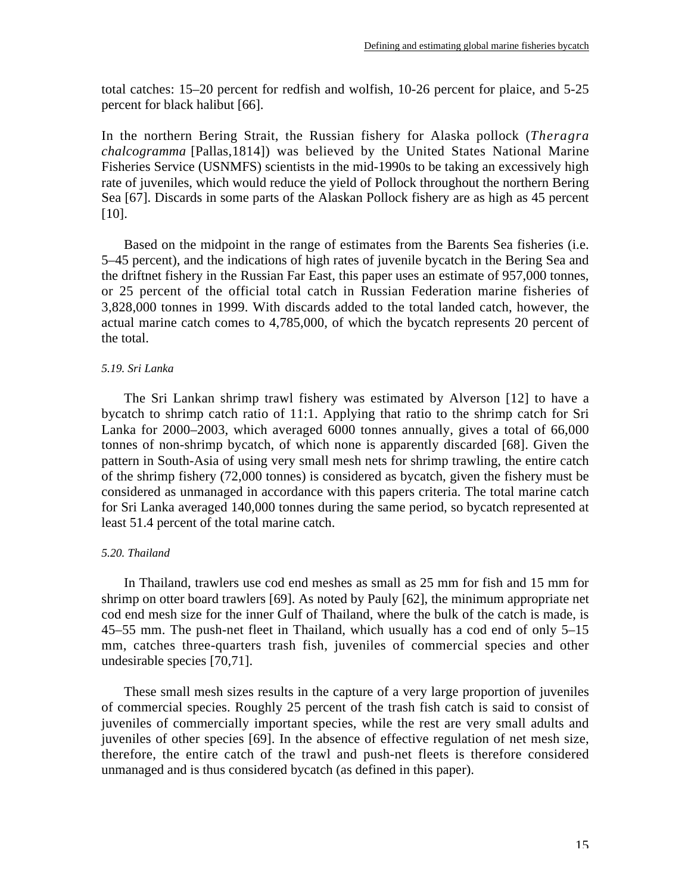total catches: 15–20 percent for redfish and wolfish, 10-26 percent for plaice, and 5-25 percent for black halibut [66].

In the northern Bering Strait, the Russian fishery for Alaska pollock (*Theragra chalcogramma* [Pallas,1814]) was believed by the United States National Marine Fisheries Service (USNMFS) scientists in the mid-1990s to be taking an excessively high rate of juveniles, which would reduce the yield of Pollock throughout the northern Bering Sea [67]. Discards in some parts of the Alaskan Pollock fishery are as high as 45 percent [10].

Based on the midpoint in the range of estimates from the Barents Sea fisheries (i.e. 5–45 percent), and the indications of high rates of juvenile bycatch in the Bering Sea and the driftnet fishery in the Russian Far East, this paper uses an estimate of 957,000 tonnes, or 25 percent of the official total catch in Russian Federation marine fisheries of 3,828,000 tonnes in 1999. With discards added to the total landed catch, however, the actual marine catch comes to 4,785,000, of which the bycatch represents 20 percent of the total.

# *5.19. Sri Lanka*

The Sri Lankan shrimp trawl fishery was estimated by Alverson [12] to have a bycatch to shrimp catch ratio of 11:1. Applying that ratio to the shrimp catch for Sri Lanka for 2000–2003, which averaged 6000 tonnes annually, gives a total of 66,000 tonnes of non-shrimp bycatch, of which none is apparently discarded [68]. Given the pattern in South-Asia of using very small mesh nets for shrimp trawling, the entire catch of the shrimp fishery (72,000 tonnes) is considered as bycatch, given the fishery must be considered as unmanaged in accordance with this papers criteria. The total marine catch for Sri Lanka averaged 140,000 tonnes during the same period, so bycatch represented at least 51.4 percent of the total marine catch.

# *5.20. Thailand*

In Thailand, trawlers use cod end meshes as small as 25 mm for fish and 15 mm for shrimp on otter board trawlers [69]. As noted by Pauly [62], the minimum appropriate net cod end mesh size for the inner Gulf of Thailand, where the bulk of the catch is made, is 45–55 mm. The push-net fleet in Thailand, which usually has a cod end of only 5–15 mm, catches three-quarters trash fish, juveniles of commercial species and other undesirable species [70,71].

These small mesh sizes results in the capture of a very large proportion of juveniles of commercial species. Roughly 25 percent of the trash fish catch is said to consist of juveniles of commercially important species, while the rest are very small adults and juveniles of other species [69]. In the absence of effective regulation of net mesh size, therefore, the entire catch of the trawl and push-net fleets is therefore considered unmanaged and is thus considered bycatch (as defined in this paper).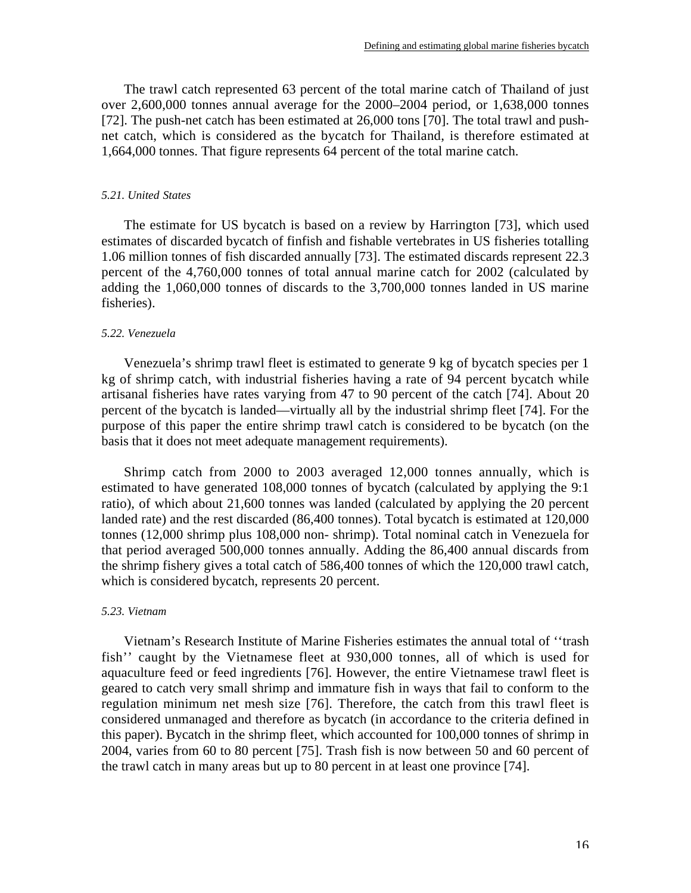The trawl catch represented 63 percent of the total marine catch of Thailand of just over 2,600,000 tonnes annual average for the 2000–2004 period, or 1,638,000 tonnes [72]. The push-net catch has been estimated at 26,000 tons [70]. The total trawl and pushnet catch, which is considered as the bycatch for Thailand, is therefore estimated at 1,664,000 tonnes. That figure represents 64 percent of the total marine catch.

### *5.21. United States*

The estimate for US bycatch is based on a review by Harrington [73], which used estimates of discarded bycatch of finfish and fishable vertebrates in US fisheries totalling 1.06 million tonnes of fish discarded annually [73]. The estimated discards represent 22.3 percent of the 4,760,000 tonnes of total annual marine catch for 2002 (calculated by adding the 1,060,000 tonnes of discards to the 3,700,000 tonnes landed in US marine fisheries).

### *5.22. Venezuela*

Venezuela's shrimp trawl fleet is estimated to generate 9 kg of bycatch species per 1 kg of shrimp catch, with industrial fisheries having a rate of 94 percent bycatch while artisanal fisheries have rates varying from 47 to 90 percent of the catch [74]. About 20 percent of the bycatch is landed—virtually all by the industrial shrimp fleet [74]. For the purpose of this paper the entire shrimp trawl catch is considered to be bycatch (on the basis that it does not meet adequate management requirements).

Shrimp catch from 2000 to 2003 averaged 12,000 tonnes annually, which is estimated to have generated 108,000 tonnes of bycatch (calculated by applying the 9:1 ratio), of which about 21,600 tonnes was landed (calculated by applying the 20 percent landed rate) and the rest discarded (86,400 tonnes). Total bycatch is estimated at 120,000 tonnes (12,000 shrimp plus 108,000 non- shrimp). Total nominal catch in Venezuela for that period averaged 500,000 tonnes annually. Adding the 86,400 annual discards from the shrimp fishery gives a total catch of 586,400 tonnes of which the 120,000 trawl catch, which is considered bycatch, represents 20 percent.

### *5.23. Vietnam*

Vietnam's Research Institute of Marine Fisheries estimates the annual total of ''trash fish'' caught by the Vietnamese fleet at 930,000 tonnes, all of which is used for aquaculture feed or feed ingredients [76]. However, the entire Vietnamese trawl fleet is geared to catch very small shrimp and immature fish in ways that fail to conform to the regulation minimum net mesh size [76]. Therefore, the catch from this trawl fleet is considered unmanaged and therefore as bycatch (in accordance to the criteria defined in this paper). Bycatch in the shrimp fleet, which accounted for 100,000 tonnes of shrimp in 2004, varies from 60 to 80 percent [75]. Trash fish is now between 50 and 60 percent of the trawl catch in many areas but up to 80 percent in at least one province [74].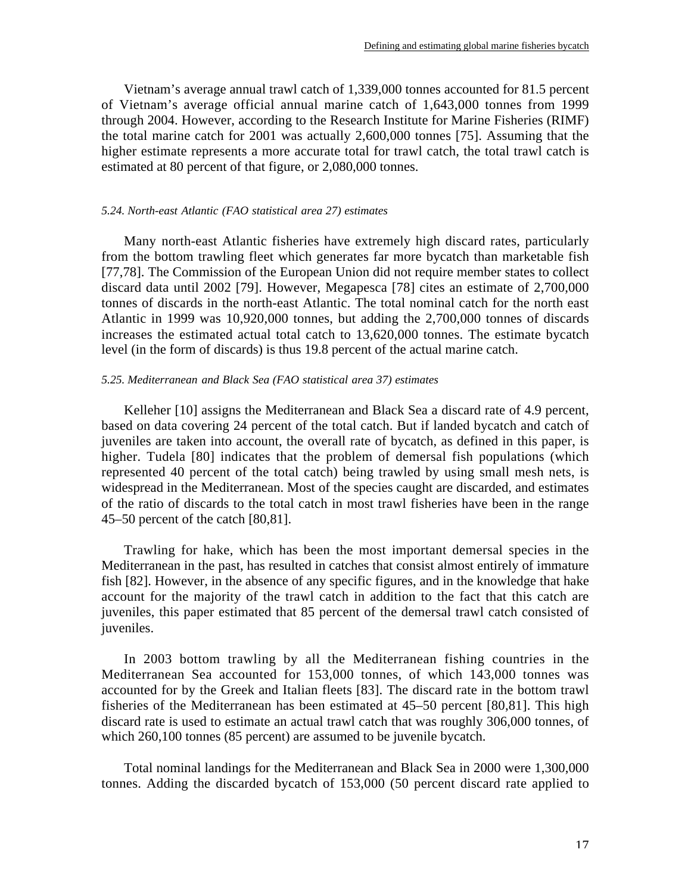Vietnam's average annual trawl catch of 1,339,000 tonnes accounted for 81.5 percent of Vietnam's average official annual marine catch of 1,643,000 tonnes from 1999 through 2004. However, according to the Research Institute for Marine Fisheries (RIMF) the total marine catch for 2001 was actually 2,600,000 tonnes [75]. Assuming that the higher estimate represents a more accurate total for trawl catch, the total trawl catch is estimated at 80 percent of that figure, or 2,080,000 tonnes.

# *5.24. North-east Atlantic (FAO statistical area 27) estimates*

Many north-east Atlantic fisheries have extremely high discard rates, particularly from the bottom trawling fleet which generates far more bycatch than marketable fish [77,78]. The Commission of the European Union did not require member states to collect discard data until 2002 [79]. However, Megapesca [78] cites an estimate of 2,700,000 tonnes of discards in the north-east Atlantic. The total nominal catch for the north east Atlantic in 1999 was 10,920,000 tonnes, but adding the 2,700,000 tonnes of discards increases the estimated actual total catch to 13,620,000 tonnes. The estimate bycatch level (in the form of discards) is thus 19.8 percent of the actual marine catch.

### *5.25. Mediterranean and Black Sea (FAO statistical area 37) estimates*

Kelleher [10] assigns the Mediterranean and Black Sea a discard rate of 4.9 percent, based on data covering 24 percent of the total catch. But if landed bycatch and catch of juveniles are taken into account, the overall rate of bycatch, as defined in this paper, is higher. Tudela [80] indicates that the problem of demersal fish populations (which represented 40 percent of the total catch) being trawled by using small mesh nets, is widespread in the Mediterranean. Most of the species caught are discarded, and estimates of the ratio of discards to the total catch in most trawl fisheries have been in the range 45–50 percent of the catch [80,81].

Trawling for hake, which has been the most important demersal species in the Mediterranean in the past, has resulted in catches that consist almost entirely of immature fish [82]. However, in the absence of any specific figures, and in the knowledge that hake account for the majority of the trawl catch in addition to the fact that this catch are juveniles, this paper estimated that 85 percent of the demersal trawl catch consisted of juveniles.

In 2003 bottom trawling by all the Mediterranean fishing countries in the Mediterranean Sea accounted for 153,000 tonnes, of which 143,000 tonnes was accounted for by the Greek and Italian fleets [83]. The discard rate in the bottom trawl fisheries of the Mediterranean has been estimated at 45–50 percent [80,81]. This high discard rate is used to estimate an actual trawl catch that was roughly 306,000 tonnes, of which 260,100 tonnes (85 percent) are assumed to be juvenile bycatch.

Total nominal landings for the Mediterranean and Black Sea in 2000 were 1,300,000 tonnes. Adding the discarded bycatch of 153,000 (50 percent discard rate applied to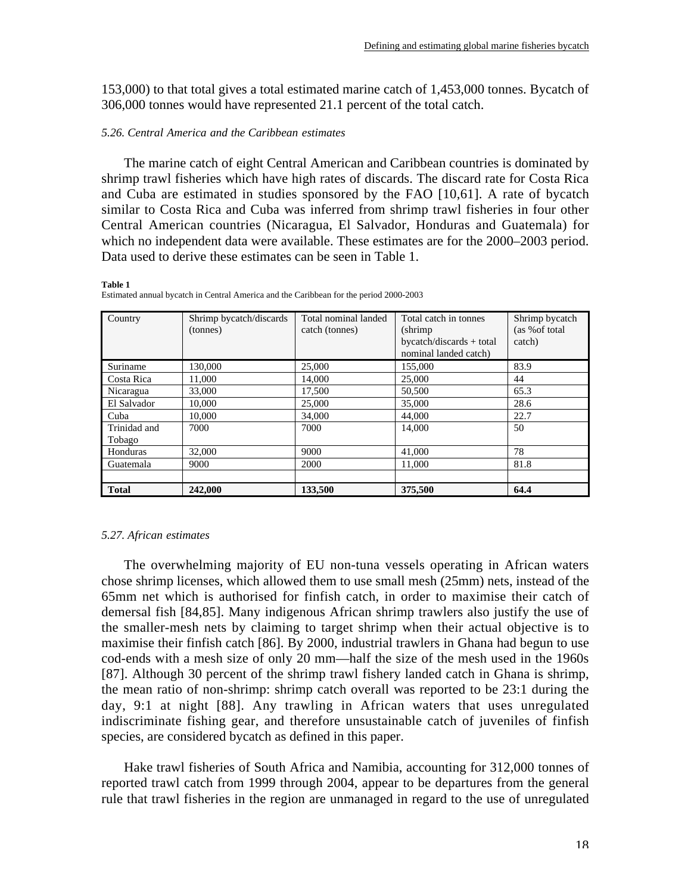153,000) to that total gives a total estimated marine catch of 1,453,000 tonnes. Bycatch of 306,000 tonnes would have represented 21.1 percent of the total catch.

### *5.26. Central America and the Caribbean estimates*

The marine catch of eight Central American and Caribbean countries is dominated by shrimp trawl fisheries which have high rates of discards. The discard rate for Costa Rica and Cuba are estimated in studies sponsored by the FAO [10,61]. A rate of bycatch similar to Costa Rica and Cuba was inferred from shrimp trawl fisheries in four other Central American countries (Nicaragua, El Salvador, Honduras and Guatemala) for which no independent data were available. These estimates are for the 2000–2003 period. Data used to derive these estimates can be seen in Table 1.

#### **Table 1**

| Country      | Shrimp bycatch/discards<br>(tonnes) | Total nominal landed<br>catch (tonnes) | Total catch in tonnes<br>(shrimp)<br>$bycatch/discards + total$<br>nominal landed catch) | Shrimp bycatch<br>(as % of total<br>catch) |
|--------------|-------------------------------------|----------------------------------------|------------------------------------------------------------------------------------------|--------------------------------------------|
| Suriname     | 130,000                             | 25,000                                 | 155,000                                                                                  | 83.9                                       |
| Costa Rica   | 11,000                              | 14,000                                 | 25,000                                                                                   | 44                                         |
| Nicaragua    | 33,000                              | 17,500                                 | 50,500                                                                                   | 65.3                                       |
| El Salvador  | 10,000                              | 25,000                                 | 35,000                                                                                   | 28.6                                       |
| Cuba         | 10,000                              | 34,000                                 | 44,000                                                                                   | 22.7                                       |
| Trinidad and | 7000                                | 7000                                   | 14,000                                                                                   | 50                                         |
| Tobago       |                                     |                                        |                                                                                          |                                            |
| Honduras     | 32,000                              | 9000                                   | 41,000                                                                                   | 78                                         |
| Guatemala    | 9000                                | 2000                                   | 11,000                                                                                   | 81.8                                       |
|              |                                     |                                        |                                                                                          |                                            |
| <b>Total</b> | 242,000                             | 133,500                                | 375,500                                                                                  | 64.4                                       |

Estimated annual bycatch in Central America and the Caribbean for the period 2000-2003

### *5.27. African estimates*

The overwhelming majority of EU non-tuna vessels operating in African waters chose shrimp licenses, which allowed them to use small mesh (25mm) nets, instead of the 65mm net which is authorised for finfish catch, in order to maximise their catch of demersal fish [84,85]. Many indigenous African shrimp trawlers also justify the use of the smaller-mesh nets by claiming to target shrimp when their actual objective is to maximise their finfish catch [86]. By 2000, industrial trawlers in Ghana had begun to use cod-ends with a mesh size of only 20 mm—half the size of the mesh used in the 1960s [87]. Although 30 percent of the shrimp trawl fishery landed catch in Ghana is shrimp, the mean ratio of non-shrimp: shrimp catch overall was reported to be 23:1 during the day, 9:1 at night [88]. Any trawling in African waters that uses unregulated indiscriminate fishing gear, and therefore unsustainable catch of juveniles of finfish species, are considered bycatch as defined in this paper.

Hake trawl fisheries of South Africa and Namibia, accounting for 312,000 tonnes of reported trawl catch from 1999 through 2004, appear to be departures from the general rule that trawl fisheries in the region are unmanaged in regard to the use of unregulated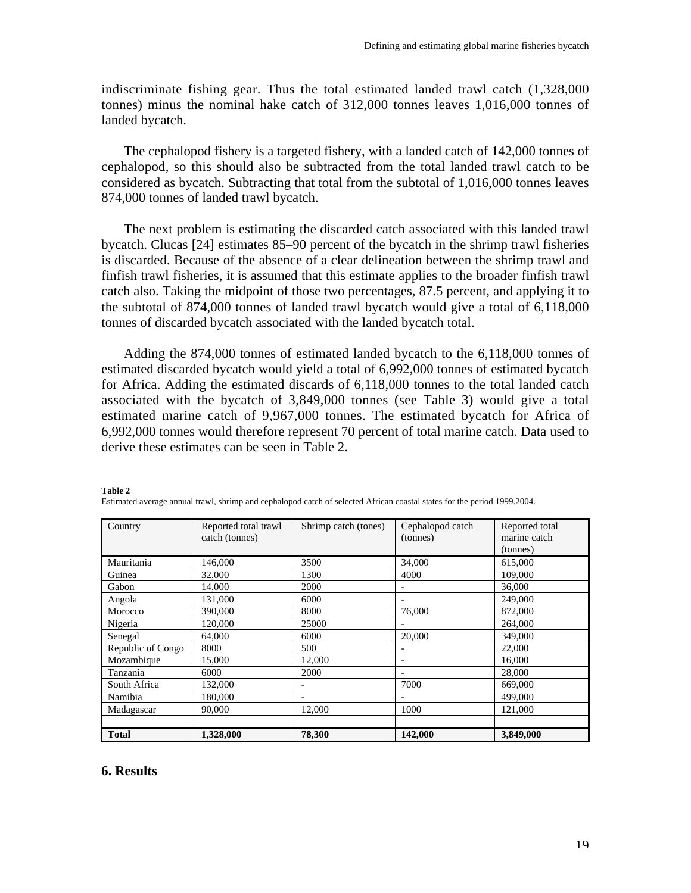indiscriminate fishing gear. Thus the total estimated landed trawl catch (1,328,000 tonnes) minus the nominal hake catch of 312,000 tonnes leaves 1,016,000 tonnes of landed bycatch.

The cephalopod fishery is a targeted fishery, with a landed catch of 142,000 tonnes of cephalopod, so this should also be subtracted from the total landed trawl catch to be considered as bycatch. Subtracting that total from the subtotal of 1,016,000 tonnes leaves 874,000 tonnes of landed trawl bycatch.

The next problem is estimating the discarded catch associated with this landed trawl bycatch. Clucas [24] estimates 85–90 percent of the bycatch in the shrimp trawl fisheries is discarded. Because of the absence of a clear delineation between the shrimp trawl and finfish trawl fisheries, it is assumed that this estimate applies to the broader finfish trawl catch also. Taking the midpoint of those two percentages, 87.5 percent, and applying it to the subtotal of 874,000 tonnes of landed trawl bycatch would give a total of 6,118,000 tonnes of discarded bycatch associated with the landed bycatch total.

Adding the 874,000 tonnes of estimated landed bycatch to the 6,118,000 tonnes of estimated discarded bycatch would yield a total of 6,992,000 tonnes of estimated bycatch for Africa. Adding the estimated discards of 6,118,000 tonnes to the total landed catch associated with the bycatch of 3,849,000 tonnes (see Table 3) would give a total estimated marine catch of 9,967,000 tonnes. The estimated bycatch for Africa of 6,992,000 tonnes would therefore represent 70 percent of total marine catch. Data used to derive these estimates can be seen in Table 2.

| Country           | Reported total trawl<br>catch (tonnes) | Shrimp catch (tones) | Cephalopod catch<br>(tonnes) | Reported total<br>marine catch<br>(tonnes) |
|-------------------|----------------------------------------|----------------------|------------------------------|--------------------------------------------|
| Mauritania        | 146,000                                | 3500                 | 34,000                       | 615,000                                    |
| Guinea            | 32,000                                 | 1300                 | 4000                         | 109,000                                    |
| Gabon             | 14.000                                 | 2000                 | ٠                            | 36,000                                     |
| Angola            | 131,000                                | 6000                 | $\overline{\phantom{a}}$     | 249,000                                    |
| Morocco           | 390,000                                | 8000                 | 76,000                       | 872,000                                    |
| Nigeria           | 120,000                                | 25000                |                              | 264,000                                    |
| Senegal           | 64,000                                 | 6000                 | 20,000                       | 349,000                                    |
| Republic of Congo | 8000                                   | 500                  |                              | 22,000                                     |
| Mozambique        | 15,000                                 | 12,000               | $\overline{\phantom{0}}$     | 16,000                                     |
| Tanzania          | 6000                                   | 2000                 |                              | 28,000                                     |
| South Africa      | 132,000                                |                      | 7000                         | 669,000                                    |
| Namibia           | 180,000                                |                      |                              | 499,000                                    |
| Madagascar        | 90,000                                 | 12,000               | 1000                         | 121,000                                    |
|                   |                                        |                      |                              |                                            |
| <b>Total</b>      | 1,328,000                              | 78,300               | 142,000                      | 3,849,000                                  |

**Table 2** Estimated average annual trawl, shrimp and cephalopod catch of selected African coastal states for the period 1999.2004.

# **6. Results**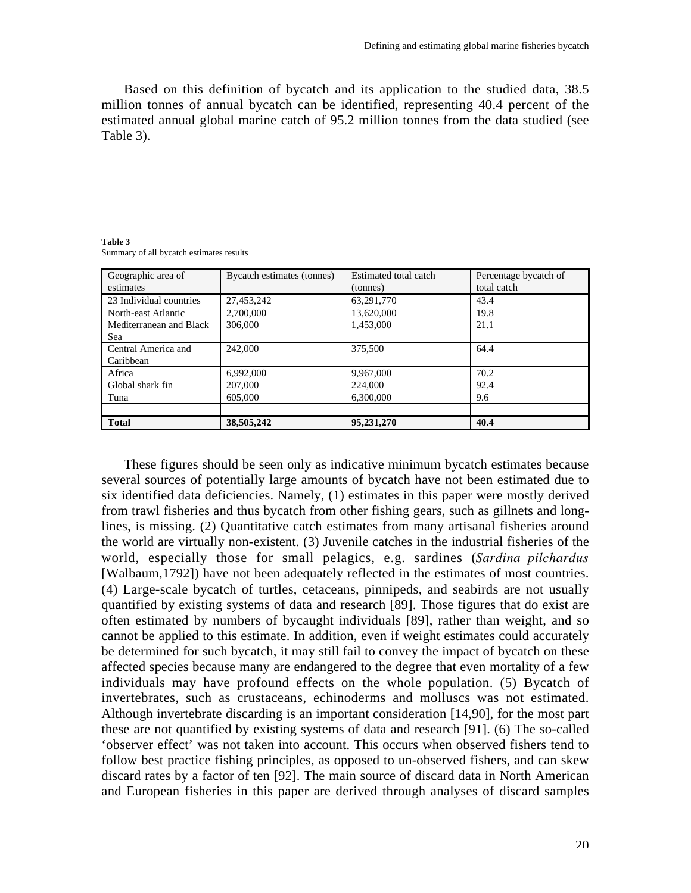Based on this definition of bycatch and its application to the studied data, 38.5 million tonnes of annual bycatch can be identified, representing 40.4 percent of the estimated annual global marine catch of 95.2 million tonnes from the data studied (see Table 3).

| Geographic area of<br>estimates | Bycatch estimates (tonnes) | Estimated total catch<br>(tonnes) | Percentage bycatch of<br>total catch |
|---------------------------------|----------------------------|-----------------------------------|--------------------------------------|
| 23 Individual countries         | 27,453,242                 | 63,291,770                        | 43.4                                 |
| North-east Atlantic             | 2,700,000                  | 13,620,000                        | 19.8                                 |
| Mediterranean and Black         | 306,000                    | 1.453,000                         | 21.1                                 |
| Sea                             |                            |                                   |                                      |
| Central America and             | 242,000                    | 375,500                           | 64.4                                 |
| Caribbean                       |                            |                                   |                                      |
| Africa                          | 6,992,000                  | 9,967,000                         | 70.2                                 |
| Global shark fin                | 207,000                    | 224,000                           | 92.4                                 |
| Tuna                            | 605,000                    | 6.300,000                         | 9.6                                  |
|                                 |                            |                                   |                                      |
| <b>Total</b>                    | 38,505,242                 | 95,231,270                        | 40.4                                 |

**Table 3** Summary of all bycatch estimates results

These figures should be seen only as indicative minimum bycatch estimates because several sources of potentially large amounts of bycatch have not been estimated due to six identified data deficiencies. Namely, (1) estimates in this paper were mostly derived from trawl fisheries and thus bycatch from other fishing gears, such as gillnets and longlines, is missing. (2) Quantitative catch estimates from many artisanal fisheries around the world are virtually non-existent. (3) Juvenile catches in the industrial fisheries of the world, especially those for small pelagics, e.g. sardines (*Sardina pilchardus* [Walbaum,1792]) have not been adequately reflected in the estimates of most countries. (4) Large-scale bycatch of turtles, cetaceans, pinnipeds, and seabirds are not usually quantified by existing systems of data and research [89]. Those figures that do exist are often estimated by numbers of bycaught individuals [89], rather than weight, and so cannot be applied to this estimate. In addition, even if weight estimates could accurately be determined for such bycatch, it may still fail to convey the impact of bycatch on these affected species because many are endangered to the degree that even mortality of a few individuals may have profound effects on the whole population. (5) Bycatch of invertebrates, such as crustaceans, echinoderms and molluscs was not estimated. Although invertebrate discarding is an important consideration [14,90], for the most part these are not quantified by existing systems of data and research [91]. (6) The so-called 'observer effect' was not taken into account. This occurs when observed fishers tend to follow best practice fishing principles, as opposed to un-observed fishers, and can skew discard rates by a factor of ten [92]. The main source of discard data in North American and European fisheries in this paper are derived through analyses of discard samples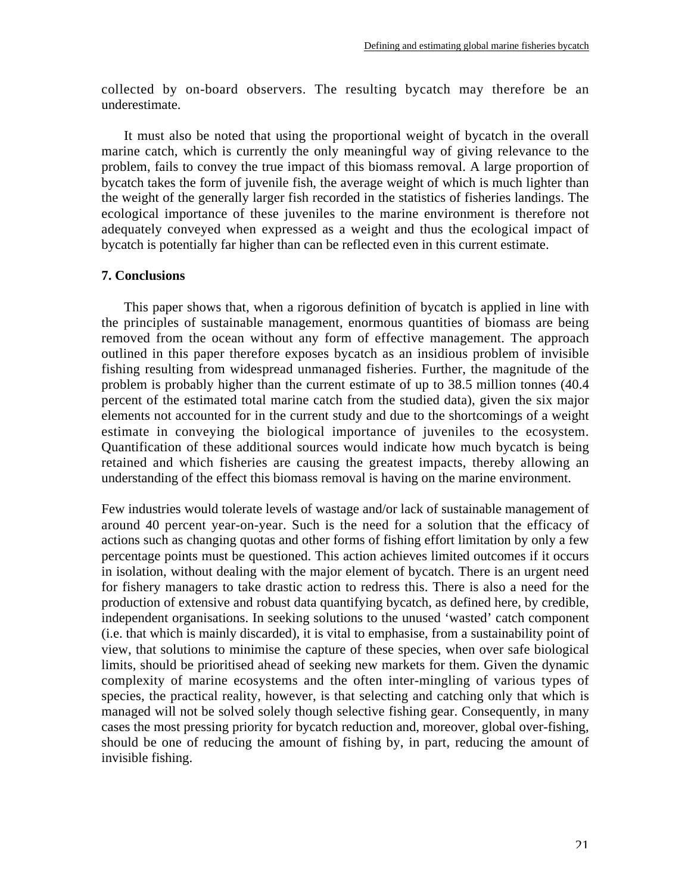collected by on-board observers. The resulting bycatch may therefore be an underestimate.

It must also be noted that using the proportional weight of bycatch in the overall marine catch, which is currently the only meaningful way of giving relevance to the problem, fails to convey the true impact of this biomass removal. A large proportion of bycatch takes the form of juvenile fish, the average weight of which is much lighter than the weight of the generally larger fish recorded in the statistics of fisheries landings. The ecological importance of these juveniles to the marine environment is therefore not adequately conveyed when expressed as a weight and thus the ecological impact of bycatch is potentially far higher than can be reflected even in this current estimate.

# **7. Conclusions**

This paper shows that, when a rigorous definition of bycatch is applied in line with the principles of sustainable management, enormous quantities of biomass are being removed from the ocean without any form of effective management. The approach outlined in this paper therefore exposes bycatch as an insidious problem of invisible fishing resulting from widespread unmanaged fisheries. Further, the magnitude of the problem is probably higher than the current estimate of up to 38.5 million tonnes (40.4 percent of the estimated total marine catch from the studied data), given the six major elements not accounted for in the current study and due to the shortcomings of a weight estimate in conveying the biological importance of juveniles to the ecosystem. Quantification of these additional sources would indicate how much bycatch is being retained and which fisheries are causing the greatest impacts, thereby allowing an understanding of the effect this biomass removal is having on the marine environment.

Few industries would tolerate levels of wastage and/or lack of sustainable management of around 40 percent year-on-year. Such is the need for a solution that the efficacy of actions such as changing quotas and other forms of fishing effort limitation by only a few percentage points must be questioned. This action achieves limited outcomes if it occurs in isolation, without dealing with the major element of bycatch. There is an urgent need for fishery managers to take drastic action to redress this. There is also a need for the production of extensive and robust data quantifying bycatch, as defined here, by credible, independent organisations. In seeking solutions to the unused 'wasted' catch component (i.e. that which is mainly discarded), it is vital to emphasise, from a sustainability point of view, that solutions to minimise the capture of these species, when over safe biological limits, should be prioritised ahead of seeking new markets for them. Given the dynamic complexity of marine ecosystems and the often inter-mingling of various types of species, the practical reality, however, is that selecting and catching only that which is managed will not be solved solely though selective fishing gear. Consequently, in many cases the most pressing priority for bycatch reduction and, moreover, global over-fishing, should be one of reducing the amount of fishing by, in part, reducing the amount of invisible fishing.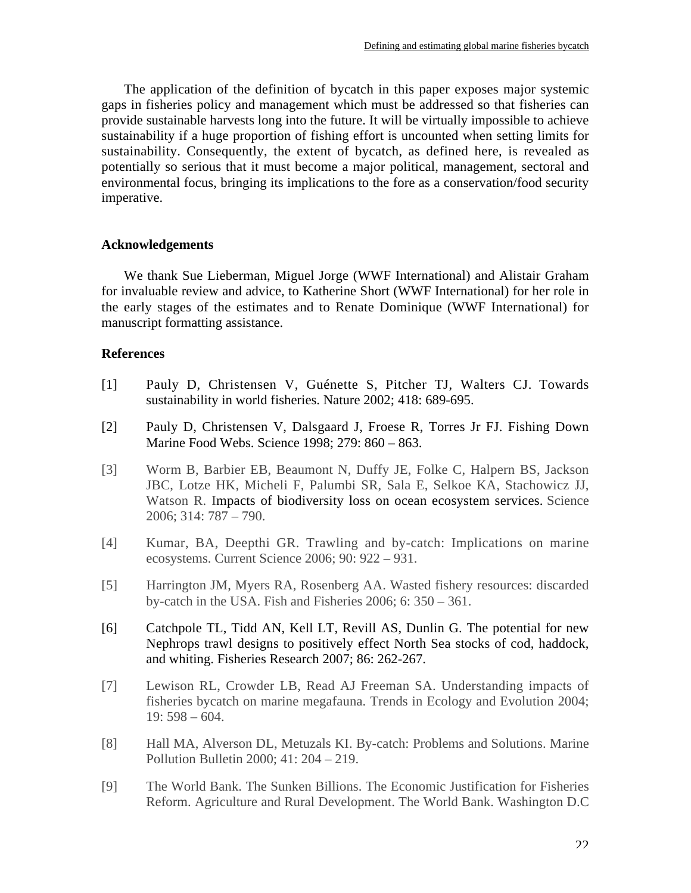The application of the definition of bycatch in this paper exposes major systemic gaps in fisheries policy and management which must be addressed so that fisheries can provide sustainable harvests long into the future. It will be virtually impossible to achieve sustainability if a huge proportion of fishing effort is uncounted when setting limits for sustainability. Consequently, the extent of bycatch, as defined here, is revealed as potentially so serious that it must become a major political, management, sectoral and environmental focus, bringing its implications to the fore as a conservation/food security imperative.

# **Acknowledgements**

We thank Sue Lieberman, Miguel Jorge (WWF International) and Alistair Graham for invaluable review and advice, to Katherine Short (WWF International) for her role in the early stages of the estimates and to Renate Dominique (WWF International) for manuscript formatting assistance.

# **References**

- [1] Pauly D, Christensen V, Guénette S, Pitcher TJ, Walters CJ. Towards sustainability in world fisheries. Nature 2002; 418: 689-695.
- [2] Pauly D, Christensen V, Dalsgaard J, Froese R, Torres Jr FJ. Fishing Down Marine Food Webs. Science 1998; 279: 860 – 863.
- [3] Worm B, Barbier EB, Beaumont N, Duffy JE, Folke C, Halpern BS, Jackson JBC, Lotze HK, Micheli F, Palumbi SR, Sala E, Selkoe KA, Stachowicz JJ, Watson R. Impacts of biodiversity loss on ocean ecosystem services. Science 2006; 314: 787 – 790.
- [4] Kumar, BA, Deepthi GR. Trawling and by-catch: Implications on marine ecosystems. Current Science 2006; 90: 922 – 931.
- [5] Harrington JM, Myers RA, Rosenberg AA. Wasted fishery resources: discarded by-catch in the USA. Fish and Fisheries 2006; 6: 350 – 361.
- [6] Catchpole TL, Tidd AN, Kell LT, Revill AS, Dunlin G. The potential for new Nephrops trawl designs to positively effect North Sea stocks of cod, haddock, and whiting. Fisheries Research 2007; 86: 262-267.
- [7] Lewison RL, Crowder LB, Read AJ Freeman SA. Understanding impacts of fisheries bycatch on marine megafauna. Trends in Ecology and Evolution 2004; 19: 598 – 604.
- [8] Hall MA, Alverson DL, Metuzals KI. By-catch: Problems and Solutions. Marine Pollution Bulletin 2000; 41: 204 – 219.
- [9] The World Bank. The Sunken Billions. The Economic Justification for Fisheries Reform. Agriculture and Rural Development. The World Bank. Washington D.C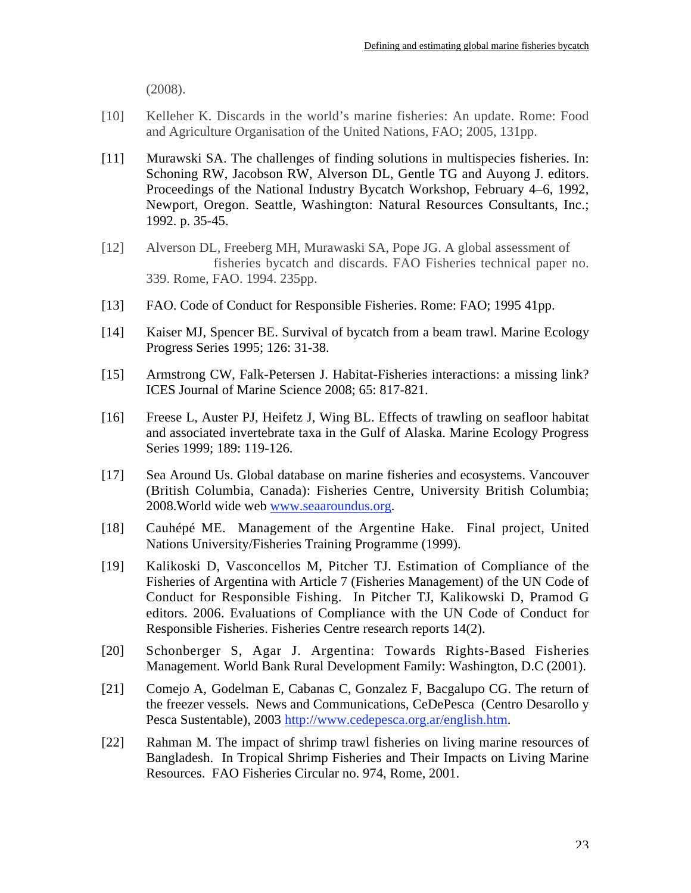(2008).

- [10] Kelleher K. Discards in the world's marine fisheries: An update. Rome: Food and Agriculture Organisation of the United Nations, FAO; 2005, 131pp.
- [11] Murawski SA. The challenges of finding solutions in multispecies fisheries. In: Schoning RW, Jacobson RW, Alverson DL, Gentle TG and Auyong J. editors. Proceedings of the National Industry Bycatch Workshop, February 4–6, 1992, Newport, Oregon. Seattle, Washington: Natural Resources Consultants, Inc.; 1992. p. 35-45.
- [12] Alverson DL, Freeberg MH, Murawaski SA, Pope JG. A global assessment of fisheries bycatch and discards. FAO Fisheries technical paper no. 339. Rome, FAO. 1994. 235pp.
- [13] FAO. Code of Conduct for Responsible Fisheries. Rome: FAO; 1995 41pp.
- [14] Kaiser MJ, Spencer BE. Survival of bycatch from a beam trawl. Marine Ecology Progress Series 1995; 126: 31-38.
- [15] Armstrong CW, Falk-Petersen J. Habitat-Fisheries interactions: a missing link? ICES Journal of Marine Science 2008; 65: 817-821.
- [16] Freese L, Auster PJ, Heifetz J, Wing BL. Effects of trawling on seafloor habitat and associated invertebrate taxa in the Gulf of Alaska. Marine Ecology Progress Series 1999; 189: 119-126.
- [17] Sea Around Us. Global database on marine fisheries and ecosystems. Vancouver (British Columbia, Canada): Fisheries Centre, University British Columbia; 2008.World wide web www.seaaroundus.org.
- [18] Cauhépé ME. Management of the Argentine Hake. Final project, United Nations University/Fisheries Training Programme (1999).
- [19] Kalikoski D, Vasconcellos M, Pitcher TJ. Estimation of Compliance of the Fisheries of Argentina with Article 7 (Fisheries Management) of the UN Code of Conduct for Responsible Fishing. In Pitcher TJ, Kalikowski D, Pramod G editors. 2006. Evaluations of Compliance with the UN Code of Conduct for Responsible Fisheries. Fisheries Centre research reports 14(2).
- [20] Schonberger S, Agar J. Argentina: Towards Rights-Based Fisheries Management. World Bank Rural Development Family: Washington, D.C (2001).
- [21] Comejo A, Godelman E, Cabanas C, Gonzalez F, Bacgalupo CG. The return of the freezer vessels. News and Communications, CeDePesca (Centro Desarollo y Pesca Sustentable), 2003 http://www.cedepesca.org.ar/english.htm.
- [22] Rahman M. The impact of shrimp trawl fisheries on living marine resources of Bangladesh. In Tropical Shrimp Fisheries and Their Impacts on Living Marine Resources. FAO Fisheries Circular no. 974, Rome, 2001.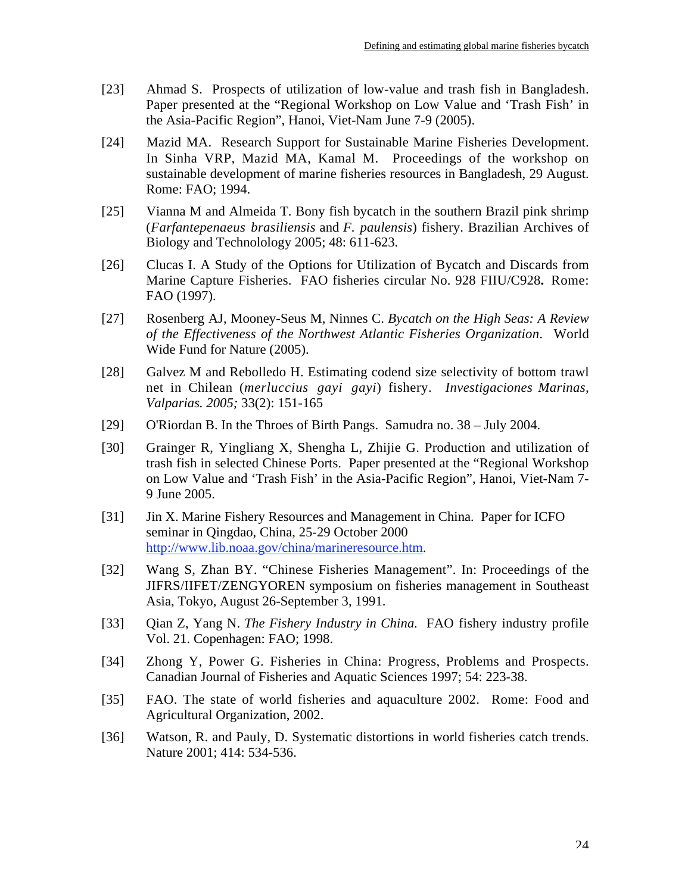- [23] Ahmad S. Prospects of utilization of low-value and trash fish in Bangladesh. Paper presented at the "Regional Workshop on Low Value and 'Trash Fish' in the Asia-Pacific Region", Hanoi, Viet-Nam June 7-9 (2005).
- [24] Mazid MA. Research Support for Sustainable Marine Fisheries Development. In Sinha VRP, Mazid MA, Kamal M. Proceedings of the workshop on sustainable development of marine fisheries resources in Bangladesh, 29 August. Rome: FAO; 1994.
- [25] Vianna M and Almeida T. Bony fish bycatch in the southern Brazil pink shrimp (*Farfantepenaeus brasiliensis* and *F. paulensis*) fishery. Brazilian Archives of Biology and Technolology 2005; 48: 611-623.
- [26] Clucas I. A Study of the Options for Utilization of Bycatch and Discards from Marine Capture Fisheries. FAO fisheries circular No. 928 FIIU/C928**.** Rome: FAO (1997).
- [27] Rosenberg AJ, Mooney-Seus M, Ninnes C. *Bycatch on the High Seas: A Review of the Effectiveness of the Northwest Atlantic Fisheries Organization*. World Wide Fund for Nature (2005).
- [28] Galvez M and Rebolledo H. Estimating codend size selectivity of bottom trawl net in Chilean (*merluccius gayi gayi*) fishery. *Investigaciones Marinas, Valparias. 2005;* 33(2): 151-165
- [29] O'Riordan B. In the Throes of Birth Pangs. Samudra no. 38 July 2004.
- [30] Grainger R, Yingliang X, Shengha L, Zhijie G. Production and utilization of trash fish in selected Chinese Ports. Paper presented at the "Regional Workshop on Low Value and 'Trash Fish' in the Asia-Pacific Region", Hanoi, Viet-Nam 7- 9 June 2005.
- [31] Jin X. Marine Fishery Resources and Management in China. Paper for ICFO seminar in Qingdao, China, 25-29 October 2000 http://www.lib.noaa.gov/china/marineresource.htm.
- [32] Wang S, Zhan BY. "Chinese Fisheries Management". In: Proceedings of the JIFRS/IIFET/ZENGYOREN symposium on fisheries management in Southeast Asia, Tokyo, August 26-September 3, 1991.
- [33] Qian Z, Yang N. *The Fishery Industry in China.* FAO fishery industry profile Vol. 21. Copenhagen: FAO; 1998.
- [34] Zhong Y, Power G. Fisheries in China: Progress, Problems and Prospects. Canadian Journal of Fisheries and Aquatic Sciences 1997; 54: 223-38.
- [35] FAO. The state of world fisheries and aquaculture 2002. Rome: Food and Agricultural Organization, 2002.
- [36] Watson, R. and Pauly, D. Systematic distortions in world fisheries catch trends. Nature 2001; 414: 534-536.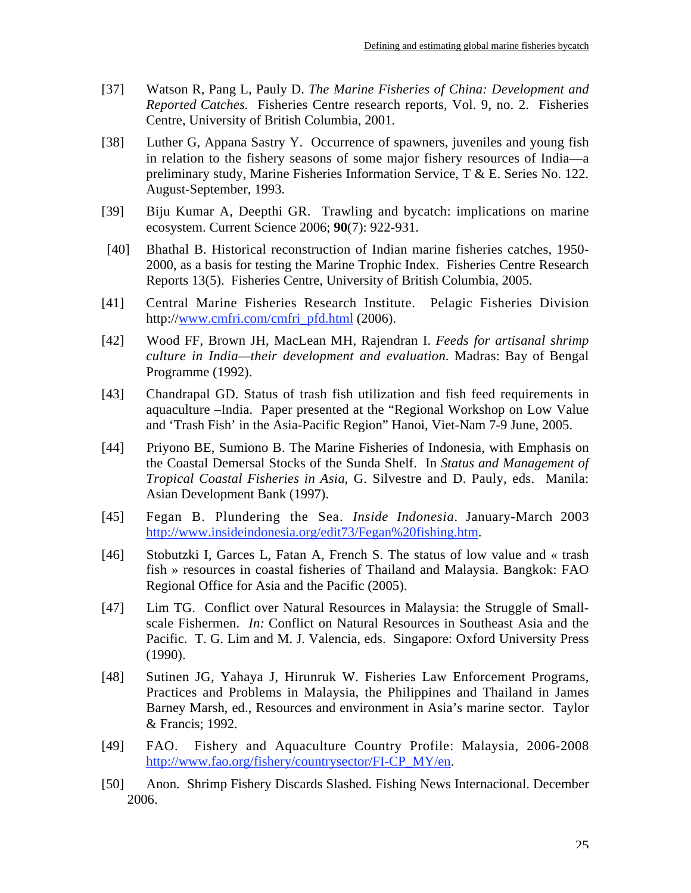- [37] Watson R, Pang L, Pauly D. *The Marine Fisheries of China: Development and Reported Catches.* Fisheries Centre research reports, Vol. 9, no. 2. Fisheries Centre, University of British Columbia, 2001.
- [38] Luther G, Appana Sastry Y. Occurrence of spawners, juveniles and young fish in relation to the fishery seasons of some major fishery resources of India—a preliminary study, Marine Fisheries Information Service, T & E. Series No. 122. August-September, 1993.
- [39] Biju Kumar A, Deepthi GR. Trawling and bycatch: implications on marine ecosystem. Current Science 2006; **90**(7): 922-931.
- [40] Bhathal B. Historical reconstruction of Indian marine fisheries catches, 1950- 2000, as a basis for testing the Marine Trophic Index. Fisheries Centre Research Reports 13(5). Fisheries Centre, University of British Columbia, 2005.
- [41] Central Marine Fisheries Research Institute. Pelagic Fisheries Division http://www.cmfri.com/cmfri\_pfd.html (2006).
- [42] Wood FF, Brown JH, MacLean MH, Rajendran I. *Feeds for artisanal shrimp culture in India—their development and evaluation.* Madras: Bay of Bengal Programme (1992).
- [43] Chandrapal GD. Status of trash fish utilization and fish feed requirements in aquaculture –India. Paper presented at the "Regional Workshop on Low Value and 'Trash Fish' in the Asia-Pacific Region" Hanoi, Viet-Nam 7-9 June, 2005.
- [44] Priyono BE, Sumiono B. The Marine Fisheries of Indonesia, with Emphasis on the Coastal Demersal Stocks of the Sunda Shelf. In *Status and Management of Tropical Coastal Fisheries in Asia*, G. Silvestre and D. Pauly, eds. Manila: Asian Development Bank (1997).
- [45] Fegan B. Plundering the Sea. *Inside Indonesia*. January-March 2003 http://www.insideindonesia.org/edit73/Fegan%20fishing.htm.
- [46] Stobutzki I, Garces L, Fatan A, French S. The status of low value and « trash fish » resources in coastal fisheries of Thailand and Malaysia. Bangkok: FAO Regional Office for Asia and the Pacific (2005).
- [47] Lim TG. Conflict over Natural Resources in Malaysia: the Struggle of Smallscale Fishermen. *In:* Conflict on Natural Resources in Southeast Asia and the Pacific. T. G. Lim and M. J. Valencia, eds. Singapore: Oxford University Press (1990).
- [48] Sutinen JG, Yahaya J, Hirunruk W. Fisheries Law Enforcement Programs, Practices and Problems in Malaysia, the Philippines and Thailand in James Barney Marsh, ed., Resources and environment in Asia's marine sector. Taylor & Francis; 1992.
- [49] FAO. Fishery and Aquaculture Country Profile: Malaysia, 2006-2008 http://www.fao.org/fishery/countrysector/FI-CP\_MY/en.
- [50] Anon. Shrimp Fishery Discards Slashed. Fishing News Internacional. December 2006.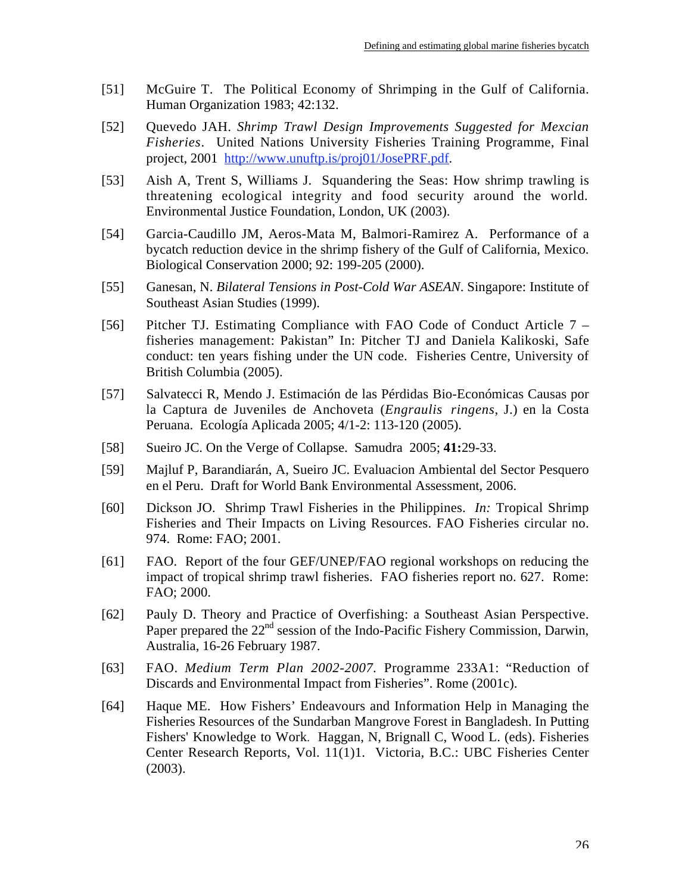- [51] McGuire T. The Political Economy of Shrimping in the Gulf of California. Human Organization 1983; 42:132.
- [52] Quevedo JAH. *Shrimp Trawl Design Improvements Suggested for Mexcian Fisheries*. United Nations University Fisheries Training Programme, Final project, 2001 http://www.unuftp.is/proj01/JosePRF.pdf.
- [53] Aish A, Trent S, Williams J. Squandering the Seas: How shrimp trawling is threatening ecological integrity and food security around the world*.* Environmental Justice Foundation, London, UK (2003).
- [54] Garcia-Caudillo JM, Aeros-Mata M, Balmori-Ramirez A. Performance of a bycatch reduction device in the shrimp fishery of the Gulf of California, Mexico. Biological Conservation 2000; 92: 199-205 (2000).
- [55] Ganesan, N. *Bilateral Tensions in Post-Cold War ASEAN*. Singapore: Institute of Southeast Asian Studies (1999).
- [56] Pitcher TJ. Estimating Compliance with FAO Code of Conduct Article 7 fisheries management: Pakistan" In: Pitcher TJ and Daniela Kalikoski, Safe conduct: ten years fishing under the UN code. Fisheries Centre, University of British Columbia (2005).
- [57] Salvatecci R, Mendo J. Estimación de las Pérdidas Bio-Económicas Causas por la Captura de Juveniles de Anchoveta (*Engraulis ringens*, J.) en la Costa Peruana. Ecología Aplicada 2005; 4/1-2: 113-120 (2005).
- [58] Sueiro JC. On the Verge of Collapse. Samudra 2005; **41:**29-33.
- [59] Majluf P, Barandiarán, A, Sueiro JC. Evaluacion Ambiental del Sector Pesquero en el Peru. Draft for World Bank Environmental Assessment, 2006.
- [60] Dickson JO. Shrimp Trawl Fisheries in the Philippines. *In:* Tropical Shrimp Fisheries and Their Impacts on Living Resources. FAO Fisheries circular no. 974. Rome: FAO; 2001.
- [61] FAO. Report of the four GEF/UNEP/FAO regional workshops on reducing the impact of tropical shrimp trawl fisheries. FAO fisheries report no. 627. Rome: FAO; 2000.
- [62] Pauly D. Theory and Practice of Overfishing: a Southeast Asian Perspective. Paper prepared the 22<sup>nd</sup> session of the Indo-Pacific Fishery Commission, Darwin, Australia, 16-26 February 1987.
- [63] FAO. *Medium Term Plan 2002-2007.* Programme 233A1: "Reduction of Discards and Environmental Impact from Fisheries". Rome (2001c).
- [64] Haque ME. How Fishers' Endeavours and Information Help in Managing the Fisheries Resources of the Sundarban Mangrove Forest in Bangladesh. In Putting Fishers' Knowledge to Work. Haggan, N, Brignall C, Wood L. (eds). Fisheries Center Research Reports, Vol. 11(1)1. Victoria, B.C.: UBC Fisheries Center (2003).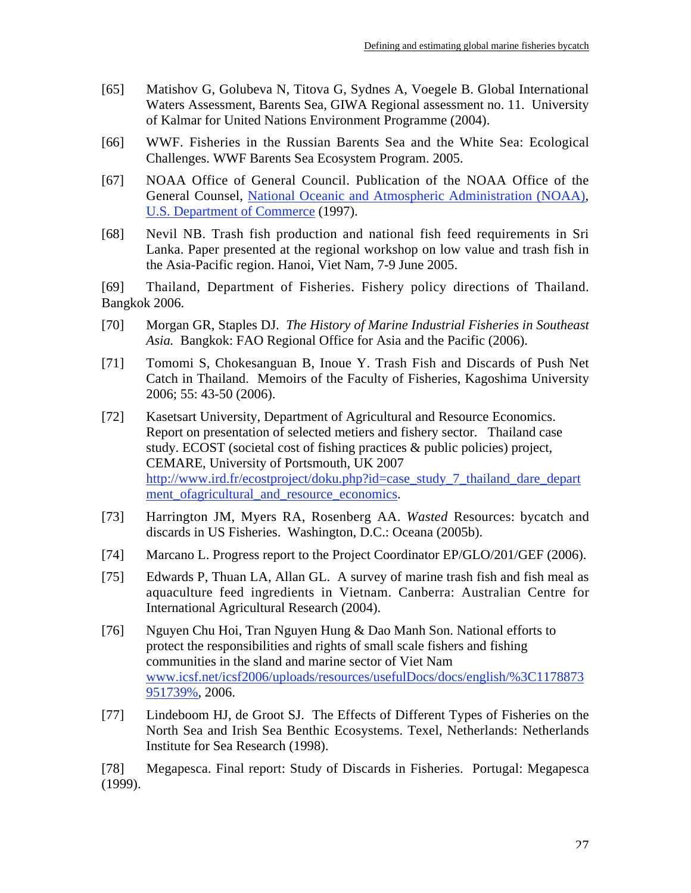- [65] Matishov G, Golubeva N, Titova G, Sydnes A, Voegele B. Global International Waters Assessment, Barents Sea, GIWA Regional assessment no. 11. University of Kalmar for United Nations Environment Programme (2004).
- [66] WWF. Fisheries in the Russian Barents Sea and the White Sea: Ecological Challenges. WWF Barents Sea Ecosystem Program. 2005.
- [67] NOAA Office of General Council. Publication of the NOAA Office of the General Counsel, National Oceanic and Atmospheric Administration (NOAA), U.S. Department of Commerce (1997).
- [68] Nevil NB. Trash fish production and national fish feed requirements in Sri Lanka. Paper presented at the regional workshop on low value and trash fish in the Asia-Pacific region. Hanoi, Viet Nam, 7-9 June 2005.

[69] Thailand, Department of Fisheries. Fishery policy directions of Thailand. Bangkok 2006.

- [70] Morgan GR, Staples DJ. *The History of Marine Industrial Fisheries in Southeast Asia.* Bangkok: FAO Regional Office for Asia and the Pacific (2006).
- [71] Tomomi S, Chokesanguan B, Inoue Y. Trash Fish and Discards of Push Net Catch in Thailand. Memoirs of the Faculty of Fisheries, Kagoshima University 2006; 55: 43-50 (2006).
- [72] Kasetsart University, Department of Agricultural and Resource Economics. Report on presentation of selected metiers and fishery sector. Thailand case study. ECOST (societal cost of fishing practices & public policies) project, CEMARE, University of Portsmouth, UK 2007 http://www.ird.fr/ecostproject/doku.php?id=case\_study\_7\_thailand\_dare\_depart ment ofagricultural and resource economics.
- [73] Harrington JM, Myers RA, Rosenberg AA. *Wasted* Resources: bycatch and discards in US Fisheries. Washington, D.C.: Oceana (2005b).
- [74] Marcano L. Progress report to the Project Coordinator EP/GLO/201/GEF (2006).
- [75] Edwards P, Thuan LA, Allan GL. A survey of marine trash fish and fish meal as aquaculture feed ingredients in Vietnam. Canberra: Australian Centre for International Agricultural Research (2004).
- [76] Nguyen Chu Hoi, Tran Nguyen Hung & Dao Manh Son. National efforts to protect the responsibilities and rights of small scale fishers and fishing communities in the sland and marine sector of Viet Nam www.icsf.net/icsf2006/uploads/resources/usefulDocs/docs/english/%3C1178873 951739%, 2006.
- [77] Lindeboom HJ, de Groot SJ. The Effects of Different Types of Fisheries on the North Sea and Irish Sea Benthic Ecosystems. Texel, Netherlands: Netherlands Institute for Sea Research (1998).

[78] Megapesca. Final report: Study of Discards in Fisheries. Portugal: Megapesca (1999).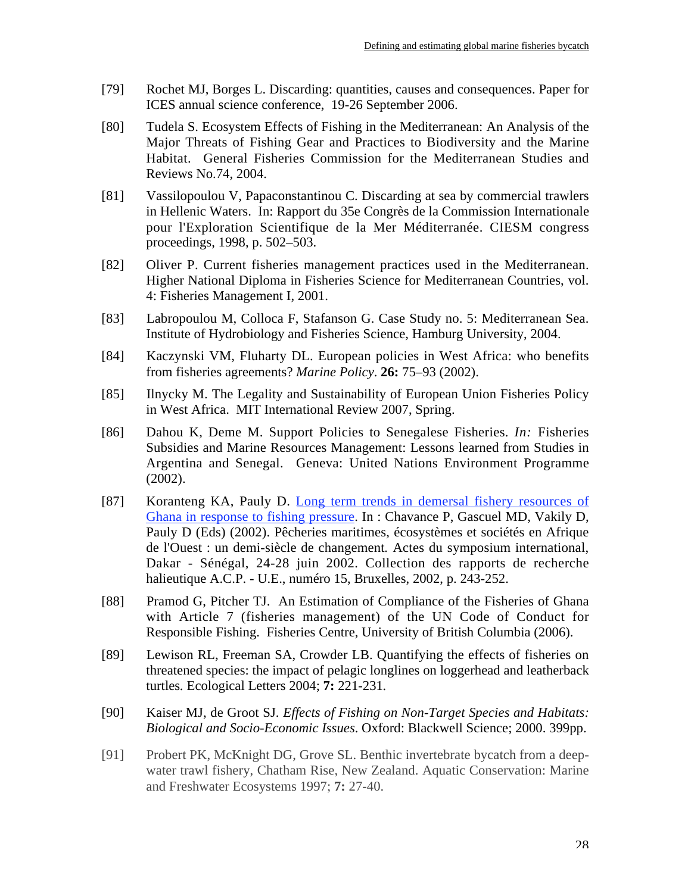- [79] Rochet MJ, Borges L. Discarding: quantities, causes and consequences. Paper for ICES annual science conference, 19-26 September 2006.
- [80] Tudela S. Ecosystem Effects of Fishing in the Mediterranean: An Analysis of the Major Threats of Fishing Gear and Practices to Biodiversity and the Marine Habitat. General Fisheries Commission for the Mediterranean Studies and Reviews No.74, 2004.
- [81] Vassilopoulou V, Papaconstantinou C. Discarding at sea by commercial trawlers in Hellenic Waters. In: Rapport du 35e Congrès de la Commission Internationale pour l'Exploration Scientifique de la Mer Méditerranée. CIESM congress proceedings, 1998, p. 502–503.
- [82] Oliver P. Current fisheries management practices used in the Mediterranean. Higher National Diploma in Fisheries Science for Mediterranean Countries, vol. 4: Fisheries Management I, 2001.
- [83] Labropoulou M, Colloca F, Stafanson G. Case Study no. 5: Mediterranean Sea. Institute of Hydrobiology and Fisheries Science, Hamburg University, 2004.
- [84] Kaczynski VM, Fluharty DL. European policies in West Africa: who benefits from fisheries agreements? *Marine Policy*. **26:** 75–93 (2002).
- [85] Ilnycky M. The Legality and Sustainability of European Union Fisheries Policy in West Africa. MIT International Review 2007, Spring.
- [86] Dahou K, Deme M. Support Policies to Senegalese Fisheries. *In:* Fisheries Subsidies and Marine Resources Management: Lessons learned from Studies in Argentina and Senegal. Geneva: United Nations Environment Programme (2002).
- [87] Koranteng KA, Pauly D. Long term trends in demersal fishery resources of Ghana in response to fishing pressure. In : Chavance P, Gascuel MD, Vakily D, Pauly D (Eds) (2002). Pêcheries maritimes, écosystèmes et sociétés en Afrique de l'Ouest : un demi-siècle de changement*.* Actes du symposium international, Dakar - Sénégal, 24-28 juin 2002. Collection des rapports de recherche halieutique A.C.P. - U.E., numéro 15, Bruxelles, 2002, p. 243-252.
- [88] Pramod G, Pitcher TJ. An Estimation of Compliance of the Fisheries of Ghana with Article 7 (fisheries management) of the UN Code of Conduct for Responsible Fishing. Fisheries Centre, University of British Columbia (2006).
- [89] Lewison RL, Freeman SA, Crowder LB. Quantifying the effects of fisheries on threatened species: the impact of pelagic longlines on loggerhead and leatherback turtles*.* Ecological Letters 2004; **7:** 221-231*.*
- [90] Kaiser MJ, de Groot SJ. *Effects of Fishing on Non-Target Species and Habitats: Biological and Socio-Economic Issues*. Oxford: Blackwell Science; 2000. 399pp.
- [91] Probert PK, McKnight DG, Grove SL. Benthic invertebrate bycatch from a deepwater trawl fishery, Chatham Rise, New Zealand. Aquatic Conservation: Marine and Freshwater Ecosystems 1997; **7:** 27-40.